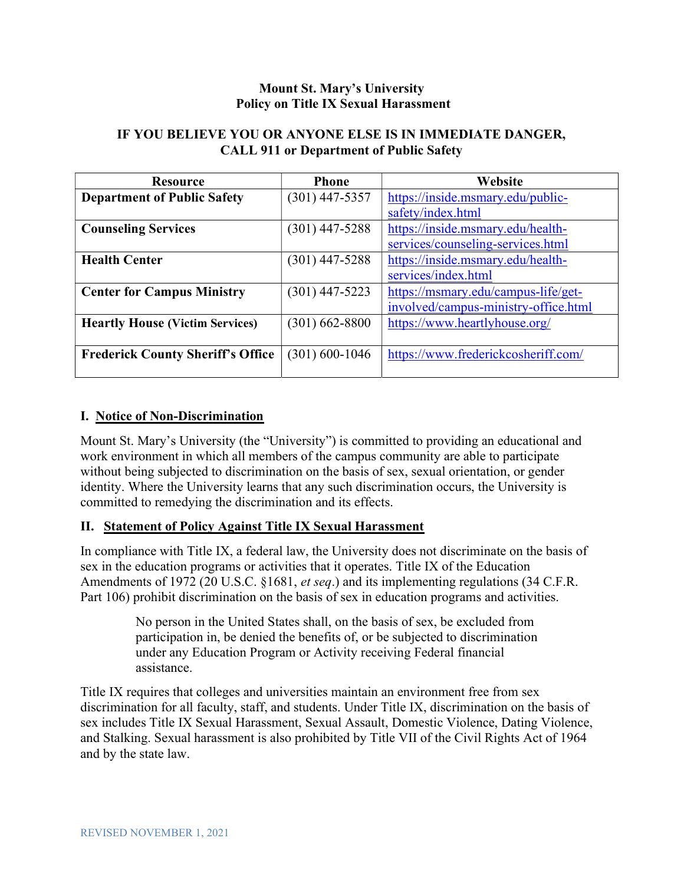### Mount St. Mary's University Policy on Title IX Sexual Harassment

### IF YOU BELIEVE YOU OR ANYONE ELSE IS IN IMMEDIATE DANGER, CALL 911 or Department of Public Safety

| <b>Resource</b>                          | <b>Phone</b>       | Website                              |
|------------------------------------------|--------------------|--------------------------------------|
| <b>Department of Public Safety</b>       | $(301)$ 447-5357   | https://inside.msmary.edu/public-    |
|                                          |                    | safety/index.html                    |
| <b>Counseling Services</b>               | $(301)$ 447-5288   | https://inside.msmary.edu/health-    |
|                                          |                    | services/counseling-services.html    |
| <b>Health Center</b>                     | $(301)$ 447-5288   | https://inside.msmary.edu/health-    |
|                                          |                    | services/index.html                  |
| <b>Center for Campus Ministry</b>        | $(301)$ 447-5223   | https://msmary.edu/campus-life/get-  |
|                                          |                    | involved/campus-ministry-office.html |
| <b>Heartly House (Victim Services)</b>   | $(301)$ 662-8800   | https://www.heartlyhouse.org/        |
|                                          |                    |                                      |
| <b>Frederick County Sheriff's Office</b> | $(301) 600 - 1046$ | https://www.frederickcosheriff.com/  |
|                                          |                    |                                      |

### I. Notice of Non-Discrimination

Mount St. Mary's University (the "University") is committed to providing an educational and work environment in which all members of the campus community are able to participate without being subjected to discrimination on the basis of sex, sexual orientation, or gender identity. Where the University learns that any such discrimination occurs, the University is committed to remedying the discrimination and its effects.

## II. Statement of Policy Against Title IX Sexual Harassment

In compliance with Title IX, a federal law, the University does not discriminate on the basis of sex in the education programs or activities that it operates. Title IX of the Education Amendments of 1972 (20 U.S.C. §1681, et seq.) and its implementing regulations (34 C.F.R. Part 106) prohibit discrimination on the basis of sex in education programs and activities.

> No person in the United States shall, on the basis of sex, be excluded from participation in, be denied the benefits of, or be subjected to discrimination under any Education Program or Activity receiving Federal financial assistance.

Title IX requires that colleges and universities maintain an environment free from sex discrimination for all faculty, staff, and students. Under Title IX, discrimination on the basis of sex includes Title IX Sexual Harassment, Sexual Assault, Domestic Violence, Dating Violence, and Stalking. Sexual harassment is also prohibited by Title VII of the Civil Rights Act of 1964 and by the state law.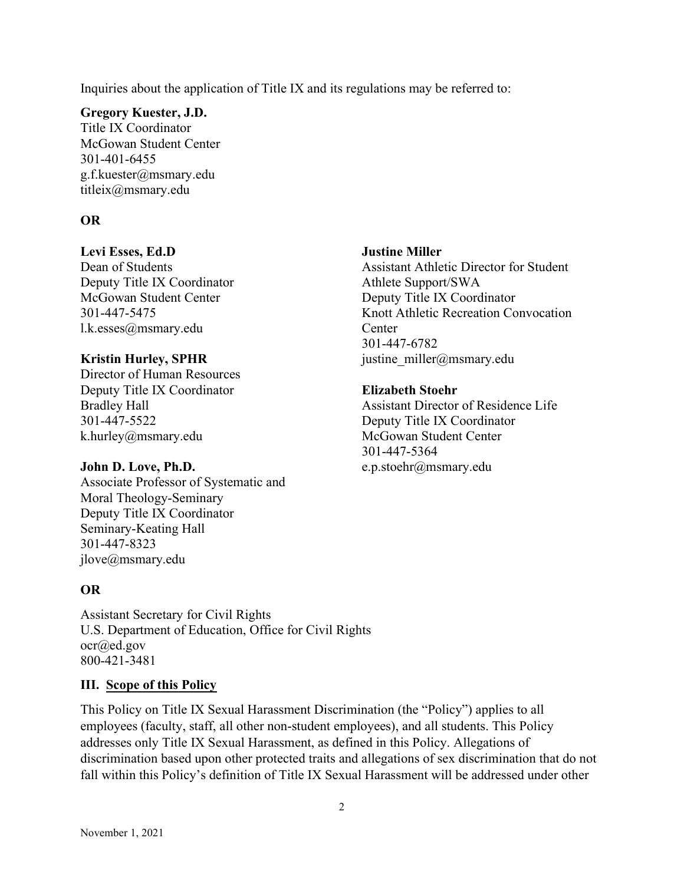Inquiries about the application of Title IX and its regulations may be referred to:

#### Gregory Kuester, J.D.

Title IX Coordinator McGowan Student Center 301-401-6455 g.f.kuester@msmary.edu titleix@msmary.edu

## OR

### Levi Esses, Ed.D

Dean of Students Deputy Title IX Coordinator McGowan Student Center 301-447-5475 l.k.esses@msmary.edu

### Kristin Hurley, SPHR

Director of Human Resources Deputy Title IX Coordinator Bradley Hall 301-447-5522 k.hurley@msmary.edu

### John D. Love, Ph.D.

Associate Professor of Systematic and Moral Theology-Seminary Deputy Title IX Coordinator Seminary-Keating Hall 301-447-8323 jlove@msmary.edu

## OR

Assistant Secretary for Civil Rights U.S. Department of Education, Office for Civil Rights ocr@ed.gov 800-421-3481

## III. Scope of this Policy

This Policy on Title IX Sexual Harassment Discrimination (the "Policy") applies to all employees (faculty, staff, all other non-student employees), and all students. This Policy addresses only Title IX Sexual Harassment, as defined in this Policy. Allegations of discrimination based upon other protected traits and allegations of sex discrimination that do not fall within this Policy's definition of Title IX Sexual Harassment will be addressed under other

### Justine Miller

Assistant Athletic Director for Student Athlete Support/SWA Deputy Title IX Coordinator Knott Athletic Recreation Convocation Center 301-447-6782 justine\_miller@msmary.edu

### Elizabeth Stoehr

Assistant Director of Residence Life Deputy Title IX Coordinator McGowan Student Center 301-447-5364 e.p.stoehr@msmary.edu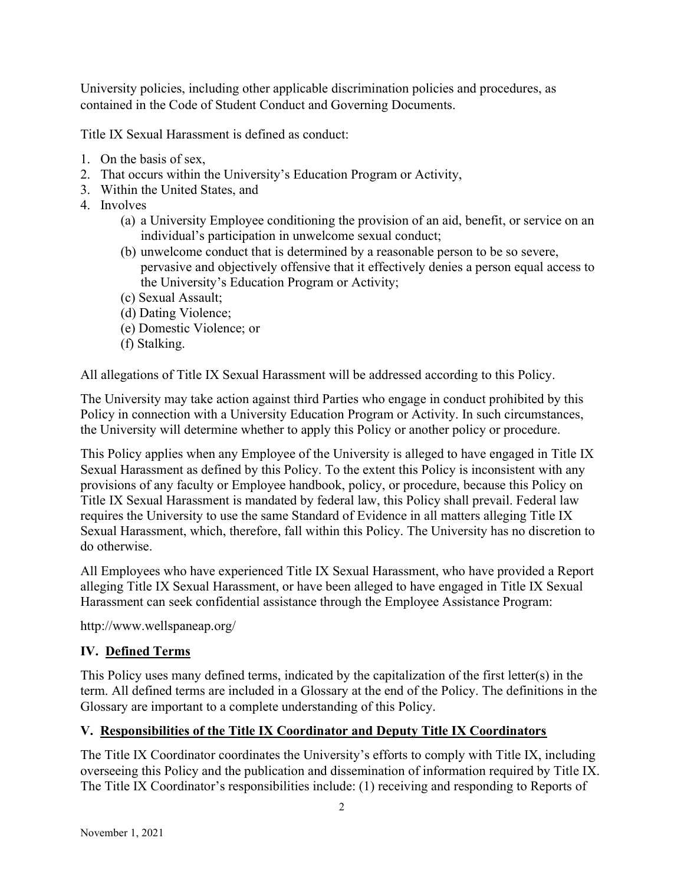University policies, including other applicable discrimination policies and procedures, as contained in the Code of Student Conduct and Governing Documents.

Title IX Sexual Harassment is defined as conduct:

- 1. On the basis of sex,
- 2. That occurs within the University's Education Program or Activity,
- 3. Within the United States, and
- 4. Involves
	- (a) a University Employee conditioning the provision of an aid, benefit, or service on an individual's participation in unwelcome sexual conduct;
	- (b) unwelcome conduct that is determined by a reasonable person to be so severe, pervasive and objectively offensive that it effectively denies a person equal access to the University's Education Program or Activity;
	- (c) Sexual Assault;
	- (d) Dating Violence;
	- (e) Domestic Violence; or
	- (f) Stalking.

All allegations of Title IX Sexual Harassment will be addressed according to this Policy.

The University may take action against third Parties who engage in conduct prohibited by this Policy in connection with a University Education Program or Activity. In such circumstances, the University will determine whether to apply this Policy or another policy or procedure.

This Policy applies when any Employee of the University is alleged to have engaged in Title IX Sexual Harassment as defined by this Policy. To the extent this Policy is inconsistent with any provisions of any faculty or Employee handbook, policy, or procedure, because this Policy on Title IX Sexual Harassment is mandated by federal law, this Policy shall prevail. Federal law requires the University to use the same Standard of Evidence in all matters alleging Title IX Sexual Harassment, which, therefore, fall within this Policy. The University has no discretion to do otherwise.

All Employees who have experienced Title IX Sexual Harassment, who have provided a Report alleging Title IX Sexual Harassment, or have been alleged to have engaged in Title IX Sexual Harassment can seek confidential assistance through the Employee Assistance Program:

http://www.wellspaneap.org/

# IV. Defined Terms

This Policy uses many defined terms, indicated by the capitalization of the first letter(s) in the term. All defined terms are included in a Glossary at the end of the Policy. The definitions in the Glossary are important to a complete understanding of this Policy.

# V. Responsibilities of the Title IX Coordinator and Deputy Title IX Coordinators

The Title IX Coordinator coordinates the University's efforts to comply with Title IX, including overseeing this Policy and the publication and dissemination of information required by Title IX. The Title IX Coordinator's responsibilities include: (1) receiving and responding to Reports of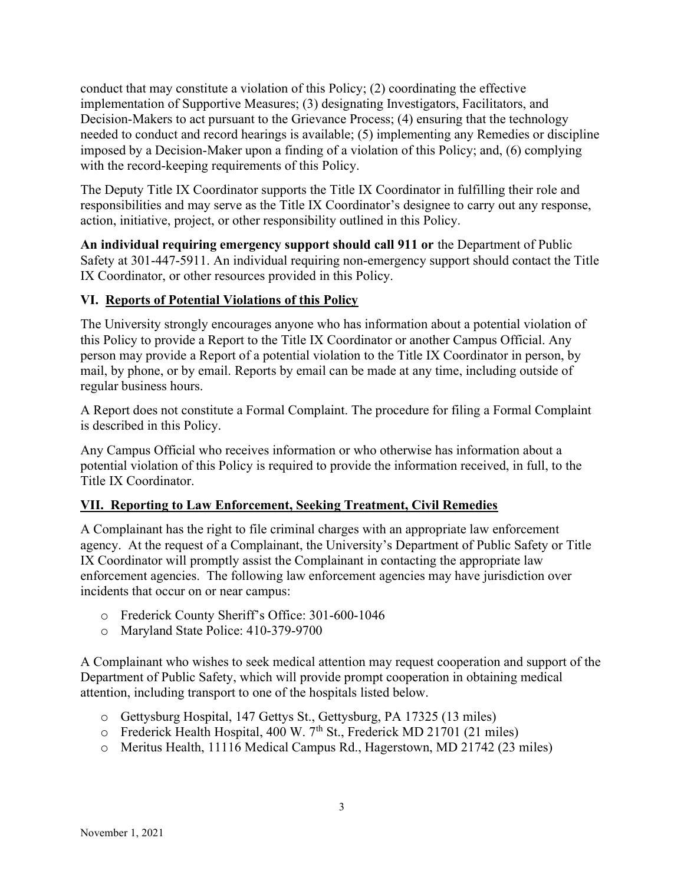conduct that may constitute a violation of this Policy; (2) coordinating the effective implementation of Supportive Measures; (3) designating Investigators, Facilitators, and Decision-Makers to act pursuant to the Grievance Process; (4) ensuring that the technology needed to conduct and record hearings is available; (5) implementing any Remedies or discipline imposed by a Decision-Maker upon a finding of a violation of this Policy; and, (6) complying with the record-keeping requirements of this Policy.

The Deputy Title IX Coordinator supports the Title IX Coordinator in fulfilling their role and responsibilities and may serve as the Title IX Coordinator's designee to carry out any response, action, initiative, project, or other responsibility outlined in this Policy.

An individual requiring emergency support should call 911 or the Department of Public Safety at 301-447-5911. An individual requiring non-emergency support should contact the Title IX Coordinator, or other resources provided in this Policy.

## VI. Reports of Potential Violations of this Policy

The University strongly encourages anyone who has information about a potential violation of this Policy to provide a Report to the Title IX Coordinator or another Campus Official. Any person may provide a Report of a potential violation to the Title IX Coordinator in person, by mail, by phone, or by email. Reports by email can be made at any time, including outside of regular business hours.

A Report does not constitute a Formal Complaint. The procedure for filing a Formal Complaint is described in this Policy.

Any Campus Official who receives information or who otherwise has information about a potential violation of this Policy is required to provide the information received, in full, to the Title IX Coordinator.

## VII. Reporting to Law Enforcement, Seeking Treatment, Civil Remedies

A Complainant has the right to file criminal charges with an appropriate law enforcement agency. At the request of a Complainant, the University's Department of Public Safety or Title IX Coordinator will promptly assist the Complainant in contacting the appropriate law enforcement agencies. The following law enforcement agencies may have jurisdiction over incidents that occur on or near campus:

- o Frederick County Sheriff's Office: 301-600-1046
- o Maryland State Police: 410-379-9700

A Complainant who wishes to seek medical attention may request cooperation and support of the Department of Public Safety, which will provide prompt cooperation in obtaining medical attention, including transport to one of the hospitals listed below.

- o Gettysburg Hospital, 147 Gettys St., Gettysburg, PA 17325 (13 miles)
- $\circ$  Frederick Health Hospital, 400 W. 7<sup>th</sup> St., Frederick MD 21701 (21 miles)
- o Meritus Health, 11116 Medical Campus Rd., Hagerstown, MD 21742 (23 miles)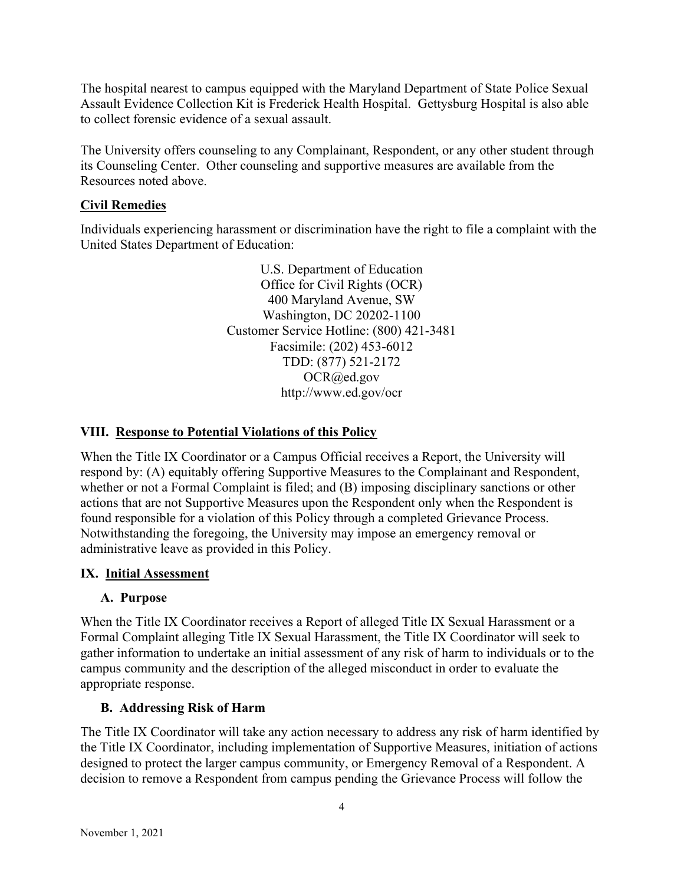The hospital nearest to campus equipped with the Maryland Department of State Police Sexual Assault Evidence Collection Kit is Frederick Health Hospital. Gettysburg Hospital is also able to collect forensic evidence of a sexual assault.

The University offers counseling to any Complainant, Respondent, or any other student through its Counseling Center. Other counseling and supportive measures are available from the Resources noted above.

## Civil Remedies

Individuals experiencing harassment or discrimination have the right to file a complaint with the United States Department of Education:

> U.S. Department of Education Office for Civil Rights (OCR) 400 Maryland Avenue, SW Washington, DC 20202-1100 Customer Service Hotline: (800) 421-3481 Facsimile: (202) 453-6012 TDD: (877) 521-2172 OCR@ed.gov http://www.ed.gov/ocr

## VIII. Response to Potential Violations of this Policy

When the Title IX Coordinator or a Campus Official receives a Report, the University will respond by: (A) equitably offering Supportive Measures to the Complainant and Respondent, whether or not a Formal Complaint is filed; and (B) imposing disciplinary sanctions or other actions that are not Supportive Measures upon the Respondent only when the Respondent is found responsible for a violation of this Policy through a completed Grievance Process. Notwithstanding the foregoing, the University may impose an emergency removal or administrative leave as provided in this Policy.

## IX. Initial Assessment

## A. Purpose

When the Title IX Coordinator receives a Report of alleged Title IX Sexual Harassment or a Formal Complaint alleging Title IX Sexual Harassment, the Title IX Coordinator will seek to gather information to undertake an initial assessment of any risk of harm to individuals or to the campus community and the description of the alleged misconduct in order to evaluate the appropriate response.

## B. Addressing Risk of Harm

The Title IX Coordinator will take any action necessary to address any risk of harm identified by the Title IX Coordinator, including implementation of Supportive Measures, initiation of actions designed to protect the larger campus community, or Emergency Removal of a Respondent. A decision to remove a Respondent from campus pending the Grievance Process will follow the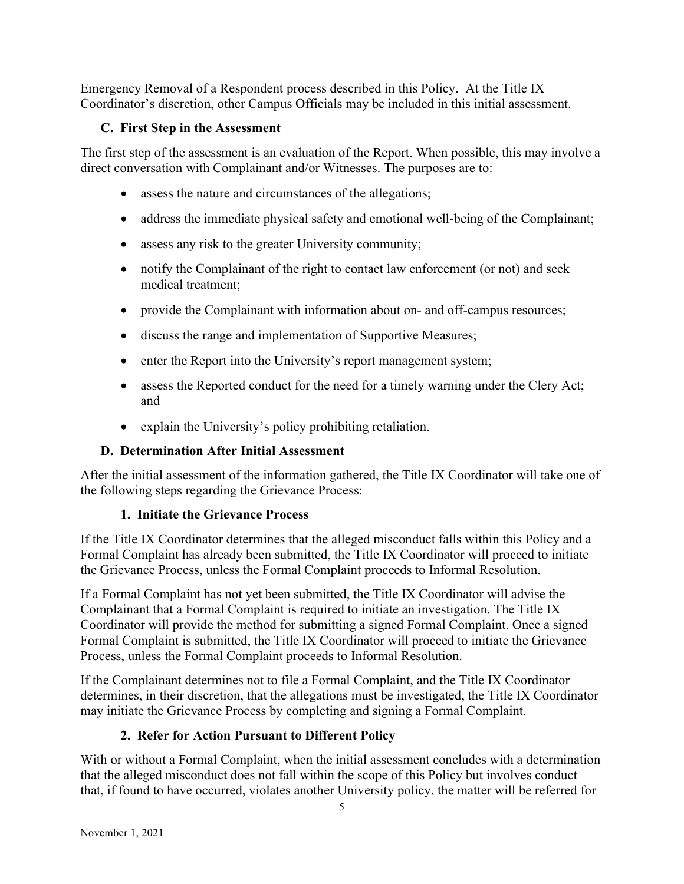Emergency Removal of a Respondent process described in this Policy. At the Title IX Coordinator's discretion, other Campus Officials may be included in this initial assessment.

## C. First Step in the Assessment

The first step of the assessment is an evaluation of the Report. When possible, this may involve a direct conversation with Complainant and/or Witnesses. The purposes are to:

- assess the nature and circumstances of the allegations;
- address the immediate physical safety and emotional well-being of the Complainant;
- assess any risk to the greater University community;
- notify the Complainant of the right to contact law enforcement (or not) and seek medical treatment;
- provide the Complainant with information about on- and off-campus resources;
- discuss the range and implementation of Supportive Measures;
- enter the Report into the University's report management system;
- assess the Reported conduct for the need for a timely warning under the Clery Act; and
- explain the University's policy prohibiting retaliation.

# D. Determination After Initial Assessment

After the initial assessment of the information gathered, the Title IX Coordinator will take one of the following steps regarding the Grievance Process:

# 1. Initiate the Grievance Process

If the Title IX Coordinator determines that the alleged misconduct falls within this Policy and a Formal Complaint has already been submitted, the Title IX Coordinator will proceed to initiate the Grievance Process, unless the Formal Complaint proceeds to Informal Resolution.

If a Formal Complaint has not yet been submitted, the Title IX Coordinator will advise the Complainant that a Formal Complaint is required to initiate an investigation. The Title IX Coordinator will provide the method for submitting a signed Formal Complaint. Once a signed Formal Complaint is submitted, the Title IX Coordinator will proceed to initiate the Grievance Process, unless the Formal Complaint proceeds to Informal Resolution.

If the Complainant determines not to file a Formal Complaint, and the Title IX Coordinator determines, in their discretion, that the allegations must be investigated, the Title IX Coordinator may initiate the Grievance Process by completing and signing a Formal Complaint.

# 2. Refer for Action Pursuant to Different Policy

With or without a Formal Complaint, when the initial assessment concludes with a determination that the alleged misconduct does not fall within the scope of this Policy but involves conduct that, if found to have occurred, violates another University policy, the matter will be referred for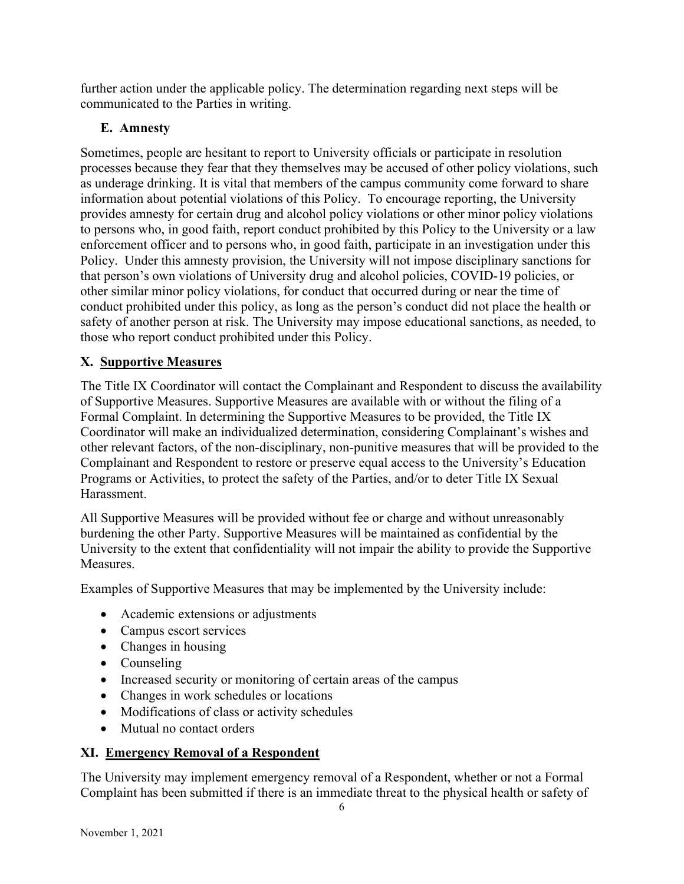further action under the applicable policy. The determination regarding next steps will be communicated to the Parties in writing.

# E. Amnesty

Sometimes, people are hesitant to report to University officials or participate in resolution processes because they fear that they themselves may be accused of other policy violations, such as underage drinking. It is vital that members of the campus community come forward to share information about potential violations of this Policy. To encourage reporting, the University provides amnesty for certain drug and alcohol policy violations or other minor policy violations to persons who, in good faith, report conduct prohibited by this Policy to the University or a law enforcement officer and to persons who, in good faith, participate in an investigation under this Policy. Under this amnesty provision, the University will not impose disciplinary sanctions for that person's own violations of University drug and alcohol policies, COVID-19 policies, or other similar minor policy violations, for conduct that occurred during or near the time of conduct prohibited under this policy, as long as the person's conduct did not place the health or safety of another person at risk. The University may impose educational sanctions, as needed, to those who report conduct prohibited under this Policy.

# X. Supportive Measures

The Title IX Coordinator will contact the Complainant and Respondent to discuss the availability of Supportive Measures. Supportive Measures are available with or without the filing of a Formal Complaint. In determining the Supportive Measures to be provided, the Title IX Coordinator will make an individualized determination, considering Complainant's wishes and other relevant factors, of the non-disciplinary, non-punitive measures that will be provided to the Complainant and Respondent to restore or preserve equal access to the University's Education Programs or Activities, to protect the safety of the Parties, and/or to deter Title IX Sexual Harassment.

All Supportive Measures will be provided without fee or charge and without unreasonably burdening the other Party. Supportive Measures will be maintained as confidential by the University to the extent that confidentiality will not impair the ability to provide the Supportive Measures.

Examples of Supportive Measures that may be implemented by the University include:

- Academic extensions or adjustments
- Campus escort services
- Changes in housing
- Counseling
- Increased security or monitoring of certain areas of the campus
- Changes in work schedules or locations
- Modifications of class or activity schedules
- Mutual no contact orders

# XI. Emergency Removal of a Respondent

The University may implement emergency removal of a Respondent, whether or not a Formal Complaint has been submitted if there is an immediate threat to the physical health or safety of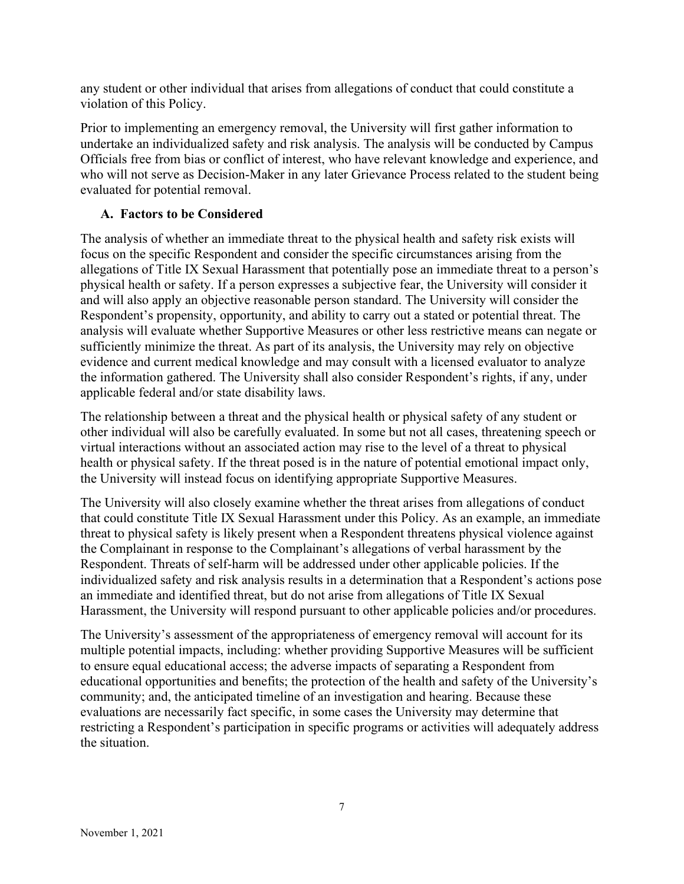any student or other individual that arises from allegations of conduct that could constitute a violation of this Policy.

Prior to implementing an emergency removal, the University will first gather information to undertake an individualized safety and risk analysis. The analysis will be conducted by Campus Officials free from bias or conflict of interest, who have relevant knowledge and experience, and who will not serve as Decision-Maker in any later Grievance Process related to the student being evaluated for potential removal.

## A. Factors to be Considered

The analysis of whether an immediate threat to the physical health and safety risk exists will focus on the specific Respondent and consider the specific circumstances arising from the allegations of Title IX Sexual Harassment that potentially pose an immediate threat to a person's physical health or safety. If a person expresses a subjective fear, the University will consider it and will also apply an objective reasonable person standard. The University will consider the Respondent's propensity, opportunity, and ability to carry out a stated or potential threat. The analysis will evaluate whether Supportive Measures or other less restrictive means can negate or sufficiently minimize the threat. As part of its analysis, the University may rely on objective evidence and current medical knowledge and may consult with a licensed evaluator to analyze the information gathered. The University shall also consider Respondent's rights, if any, under applicable federal and/or state disability laws.

The relationship between a threat and the physical health or physical safety of any student or other individual will also be carefully evaluated. In some but not all cases, threatening speech or virtual interactions without an associated action may rise to the level of a threat to physical health or physical safety. If the threat posed is in the nature of potential emotional impact only, the University will instead focus on identifying appropriate Supportive Measures.

The University will also closely examine whether the threat arises from allegations of conduct that could constitute Title IX Sexual Harassment under this Policy. As an example, an immediate threat to physical safety is likely present when a Respondent threatens physical violence against the Complainant in response to the Complainant's allegations of verbal harassment by the Respondent. Threats of self-harm will be addressed under other applicable policies. If the individualized safety and risk analysis results in a determination that a Respondent's actions pose an immediate and identified threat, but do not arise from allegations of Title IX Sexual Harassment, the University will respond pursuant to other applicable policies and/or procedures.

The University's assessment of the appropriateness of emergency removal will account for its multiple potential impacts, including: whether providing Supportive Measures will be sufficient to ensure equal educational access; the adverse impacts of separating a Respondent from educational opportunities and benefits; the protection of the health and safety of the University's community; and, the anticipated timeline of an investigation and hearing. Because these evaluations are necessarily fact specific, in some cases the University may determine that restricting a Respondent's participation in specific programs or activities will adequately address the situation.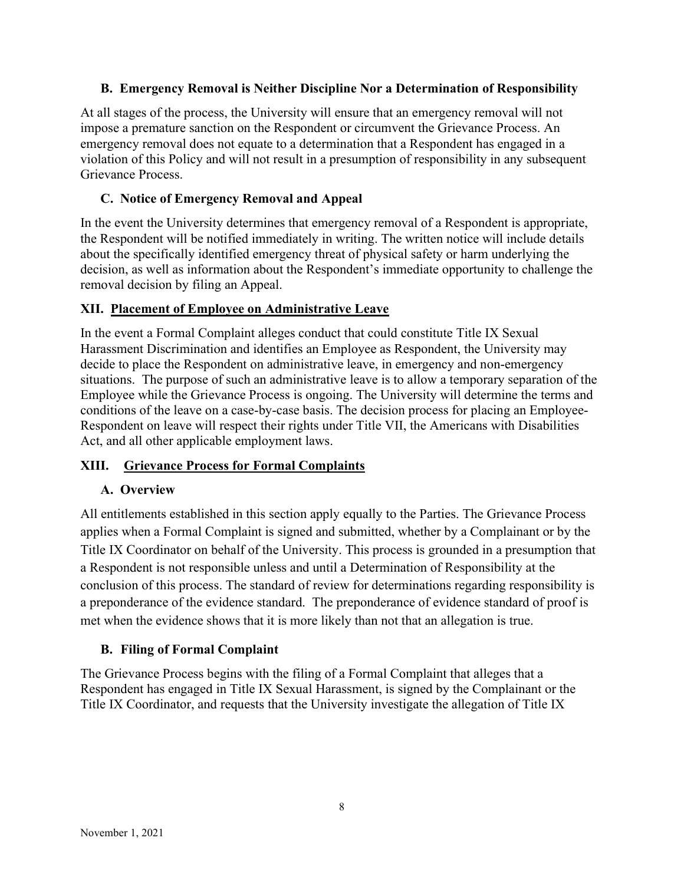### B. Emergency Removal is Neither Discipline Nor a Determination of Responsibility

At all stages of the process, the University will ensure that an emergency removal will not impose a premature sanction on the Respondent or circumvent the Grievance Process. An emergency removal does not equate to a determination that a Respondent has engaged in a violation of this Policy and will not result in a presumption of responsibility in any subsequent Grievance Process.

## C. Notice of Emergency Removal and Appeal

In the event the University determines that emergency removal of a Respondent is appropriate, the Respondent will be notified immediately in writing. The written notice will include details about the specifically identified emergency threat of physical safety or harm underlying the decision, as well as information about the Respondent's immediate opportunity to challenge the removal decision by filing an Appeal.

### XII. Placement of Employee on Administrative Leave

In the event a Formal Complaint alleges conduct that could constitute Title IX Sexual Harassment Discrimination and identifies an Employee as Respondent, the University may decide to place the Respondent on administrative leave, in emergency and non-emergency situations. The purpose of such an administrative leave is to allow a temporary separation of the Employee while the Grievance Process is ongoing. The University will determine the terms and conditions of the leave on a case-by-case basis. The decision process for placing an Employee-Respondent on leave will respect their rights under Title VII, the Americans with Disabilities Act, and all other applicable employment laws.

## XIII. Grievance Process for Formal Complaints

## A. Overview

All entitlements established in this section apply equally to the Parties. The Grievance Process applies when a Formal Complaint is signed and submitted, whether by a Complainant or by the Title IX Coordinator on behalf of the University. This process is grounded in a presumption that a Respondent is not responsible unless and until a Determination of Responsibility at the conclusion of this process. The standard of review for determinations regarding responsibility is a preponderance of the evidence standard. The preponderance of evidence standard of proof is met when the evidence shows that it is more likely than not that an allegation is true.

## B. Filing of Formal Complaint

The Grievance Process begins with the filing of a Formal Complaint that alleges that a Respondent has engaged in Title IX Sexual Harassment, is signed by the Complainant or the Title IX Coordinator, and requests that the University investigate the allegation of Title IX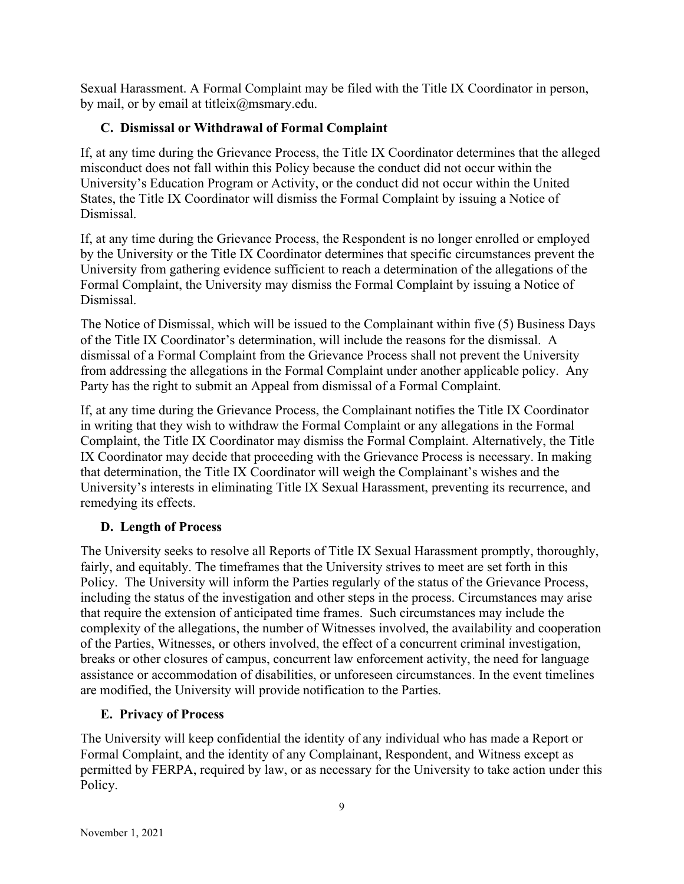Sexual Harassment. A Formal Complaint may be filed with the Title IX Coordinator in person, by mail, or by email at titleix@msmary.edu.

## C. Dismissal or Withdrawal of Formal Complaint

If, at any time during the Grievance Process, the Title IX Coordinator determines that the alleged misconduct does not fall within this Policy because the conduct did not occur within the University's Education Program or Activity, or the conduct did not occur within the United States, the Title IX Coordinator will dismiss the Formal Complaint by issuing a Notice of Dismissal.

If, at any time during the Grievance Process, the Respondent is no longer enrolled or employed by the University or the Title IX Coordinator determines that specific circumstances prevent the University from gathering evidence sufficient to reach a determination of the allegations of the Formal Complaint, the University may dismiss the Formal Complaint by issuing a Notice of Dismissal.

The Notice of Dismissal, which will be issued to the Complainant within five (5) Business Days of the Title IX Coordinator's determination, will include the reasons for the dismissal. A dismissal of a Formal Complaint from the Grievance Process shall not prevent the University from addressing the allegations in the Formal Complaint under another applicable policy. Any Party has the right to submit an Appeal from dismissal of a Formal Complaint.

If, at any time during the Grievance Process, the Complainant notifies the Title IX Coordinator in writing that they wish to withdraw the Formal Complaint or any allegations in the Formal Complaint, the Title IX Coordinator may dismiss the Formal Complaint. Alternatively, the Title IX Coordinator may decide that proceeding with the Grievance Process is necessary. In making that determination, the Title IX Coordinator will weigh the Complainant's wishes and the University's interests in eliminating Title IX Sexual Harassment, preventing its recurrence, and remedying its effects.

## D. Length of Process

The University seeks to resolve all Reports of Title IX Sexual Harassment promptly, thoroughly, fairly, and equitably. The timeframes that the University strives to meet are set forth in this Policy. The University will inform the Parties regularly of the status of the Grievance Process, including the status of the investigation and other steps in the process. Circumstances may arise that require the extension of anticipated time frames. Such circumstances may include the complexity of the allegations, the number of Witnesses involved, the availability and cooperation of the Parties, Witnesses, or others involved, the effect of a concurrent criminal investigation, breaks or other closures of campus, concurrent law enforcement activity, the need for language assistance or accommodation of disabilities, or unforeseen circumstances. In the event timelines are modified, the University will provide notification to the Parties.

## E. Privacy of Process

The University will keep confidential the identity of any individual who has made a Report or Formal Complaint, and the identity of any Complainant, Respondent, and Witness except as permitted by FERPA, required by law, or as necessary for the University to take action under this Policy.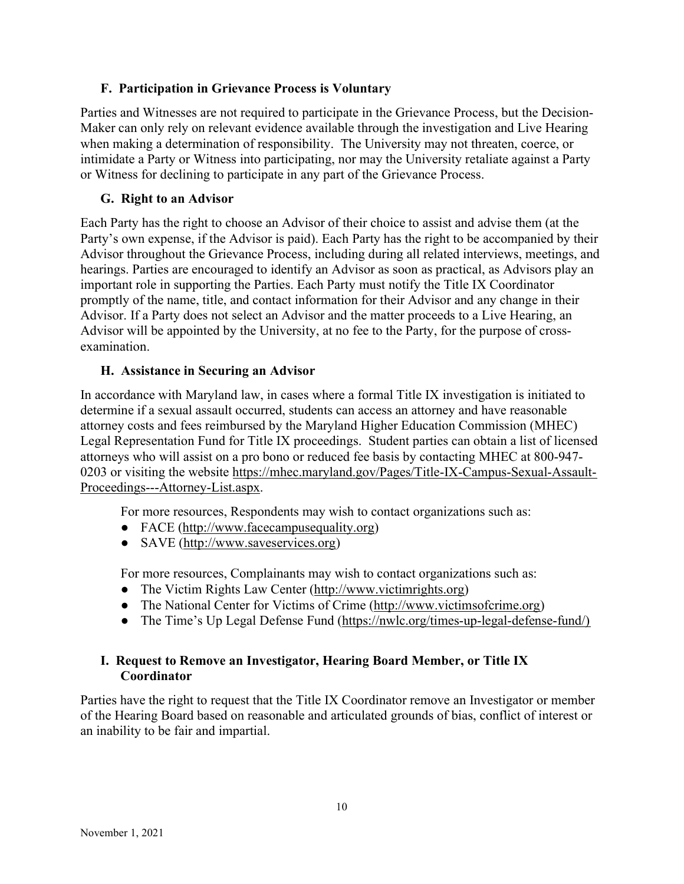## F. Participation in Grievance Process is Voluntary

Parties and Witnesses are not required to participate in the Grievance Process, but the Decision-Maker can only rely on relevant evidence available through the investigation and Live Hearing when making a determination of responsibility. The University may not threaten, coerce, or intimidate a Party or Witness into participating, nor may the University retaliate against a Party or Witness for declining to participate in any part of the Grievance Process.

### G. Right to an Advisor

Each Party has the right to choose an Advisor of their choice to assist and advise them (at the Party's own expense, if the Advisor is paid). Each Party has the right to be accompanied by their Advisor throughout the Grievance Process, including during all related interviews, meetings, and hearings. Parties are encouraged to identify an Advisor as soon as practical, as Advisors play an important role in supporting the Parties. Each Party must notify the Title IX Coordinator promptly of the name, title, and contact information for their Advisor and any change in their Advisor. If a Party does not select an Advisor and the matter proceeds to a Live Hearing, an Advisor will be appointed by the University, at no fee to the Party, for the purpose of crossexamination.

### H. Assistance in Securing an Advisor

In accordance with Maryland law, in cases where a formal Title IX investigation is initiated to determine if a sexual assault occurred, students can access an attorney and have reasonable attorney costs and fees reimbursed by the Maryland Higher Education Commission (MHEC) Legal Representation Fund for Title IX proceedings. Student parties can obtain a list of licensed attorneys who will assist on a pro bono or reduced fee basis by contacting MHEC at 800-947- 0203 or visiting the website https://mhec.maryland.gov/Pages/Title-IX-Campus-Sexual-Assault-Proceedings---Attorney-List.aspx.

For more resources, Respondents may wish to contact organizations such as:

- FACE (http://www.facecampusequality.org)
- SAVE (http://www.saveservices.org)

For more resources, Complainants may wish to contact organizations such as:

- The Victim Rights Law Center (http://www.victimrights.org)
- The National Center for Victims of Crime (http://www.victimsofcrime.org)
- The Time's Up Legal Defense Fund (https://nwlc.org/times-up-legal-defense-fund/)

## I. Request to Remove an Investigator, Hearing Board Member, or Title IX Coordinator

Parties have the right to request that the Title IX Coordinator remove an Investigator or member of the Hearing Board based on reasonable and articulated grounds of bias, conflict of interest or an inability to be fair and impartial.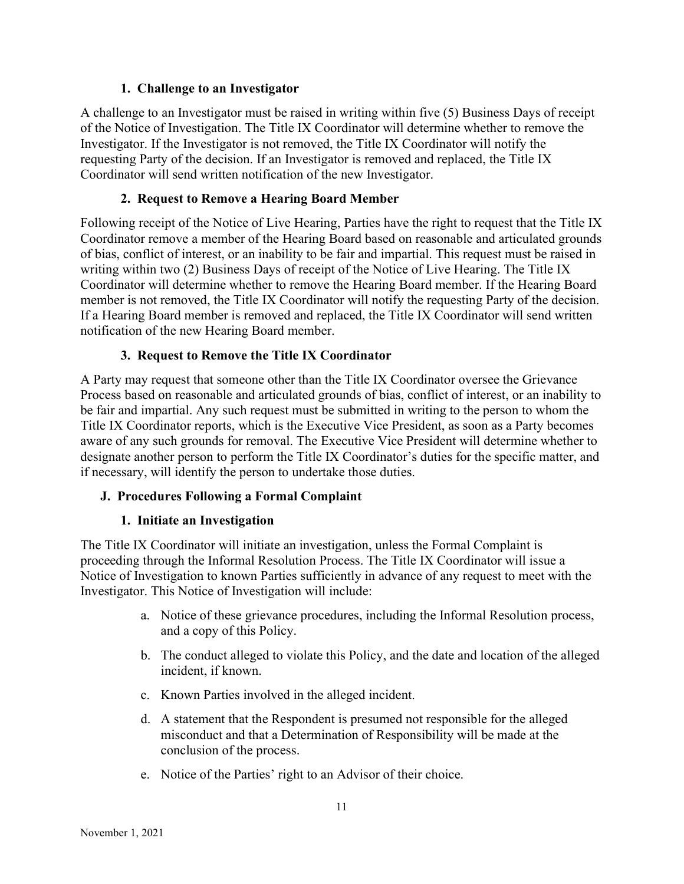### 1. Challenge to an Investigator

A challenge to an Investigator must be raised in writing within five (5) Business Days of receipt of the Notice of Investigation. The Title IX Coordinator will determine whether to remove the Investigator. If the Investigator is not removed, the Title IX Coordinator will notify the requesting Party of the decision. If an Investigator is removed and replaced, the Title IX Coordinator will send written notification of the new Investigator.

## 2. Request to Remove a Hearing Board Member

Following receipt of the Notice of Live Hearing, Parties have the right to request that the Title IX Coordinator remove a member of the Hearing Board based on reasonable and articulated grounds of bias, conflict of interest, or an inability to be fair and impartial. This request must be raised in writing within two (2) Business Days of receipt of the Notice of Live Hearing. The Title IX Coordinator will determine whether to remove the Hearing Board member. If the Hearing Board member is not removed, the Title IX Coordinator will notify the requesting Party of the decision. If a Hearing Board member is removed and replaced, the Title IX Coordinator will send written notification of the new Hearing Board member.

### 3. Request to Remove the Title IX Coordinator

A Party may request that someone other than the Title IX Coordinator oversee the Grievance Process based on reasonable and articulated grounds of bias, conflict of interest, or an inability to be fair and impartial. Any such request must be submitted in writing to the person to whom the Title IX Coordinator reports, which is the Executive Vice President, as soon as a Party becomes aware of any such grounds for removal. The Executive Vice President will determine whether to designate another person to perform the Title IX Coordinator's duties for the specific matter, and if necessary, will identify the person to undertake those duties.

## J. Procedures Following a Formal Complaint

## 1. Initiate an Investigation

The Title IX Coordinator will initiate an investigation, unless the Formal Complaint is proceeding through the Informal Resolution Process. The Title IX Coordinator will issue a Notice of Investigation to known Parties sufficiently in advance of any request to meet with the Investigator. This Notice of Investigation will include:

- a. Notice of these grievance procedures, including the Informal Resolution process, and a copy of this Policy.
- b. The conduct alleged to violate this Policy, and the date and location of the alleged incident, if known.
- c. Known Parties involved in the alleged incident.
- d. A statement that the Respondent is presumed not responsible for the alleged misconduct and that a Determination of Responsibility will be made at the conclusion of the process.
- e. Notice of the Parties' right to an Advisor of their choice.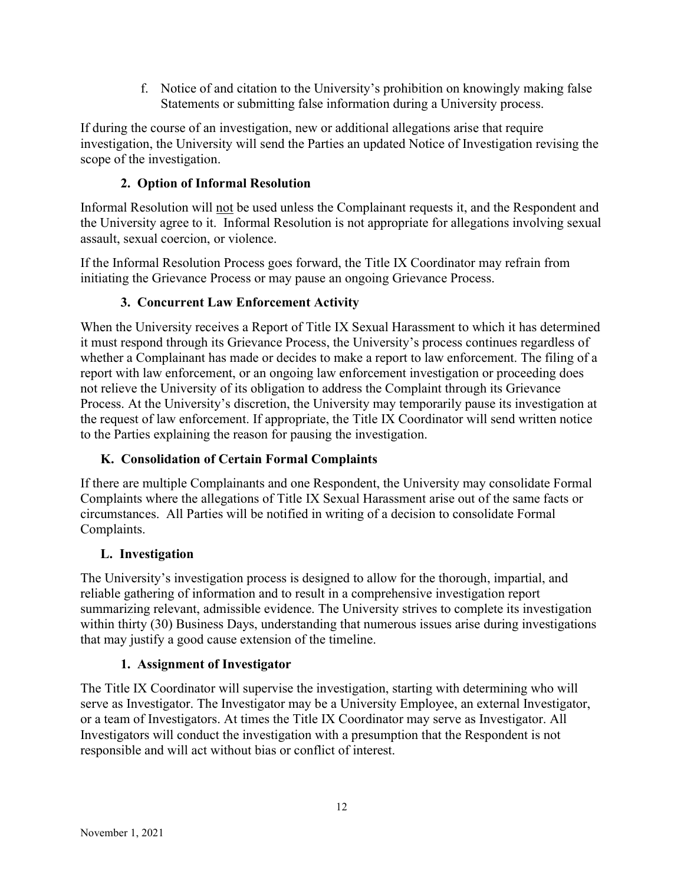f. Notice of and citation to the University's prohibition on knowingly making false Statements or submitting false information during a University process.

If during the course of an investigation, new or additional allegations arise that require investigation, the University will send the Parties an updated Notice of Investigation revising the scope of the investigation.

# 2. Option of Informal Resolution

Informal Resolution will not be used unless the Complainant requests it, and the Respondent and the University agree to it. Informal Resolution is not appropriate for allegations involving sexual assault, sexual coercion, or violence.

If the Informal Resolution Process goes forward, the Title IX Coordinator may refrain from initiating the Grievance Process or may pause an ongoing Grievance Process.

## 3. Concurrent Law Enforcement Activity

When the University receives a Report of Title IX Sexual Harassment to which it has determined it must respond through its Grievance Process, the University's process continues regardless of whether a Complainant has made or decides to make a report to law enforcement. The filing of a report with law enforcement, or an ongoing law enforcement investigation or proceeding does not relieve the University of its obligation to address the Complaint through its Grievance Process. At the University's discretion, the University may temporarily pause its investigation at the request of law enforcement. If appropriate, the Title IX Coordinator will send written notice to the Parties explaining the reason for pausing the investigation.

## K. Consolidation of Certain Formal Complaints

If there are multiple Complainants and one Respondent, the University may consolidate Formal Complaints where the allegations of Title IX Sexual Harassment arise out of the same facts or circumstances. All Parties will be notified in writing of a decision to consolidate Formal Complaints.

## L. Investigation

The University's investigation process is designed to allow for the thorough, impartial, and reliable gathering of information and to result in a comprehensive investigation report summarizing relevant, admissible evidence. The University strives to complete its investigation within thirty (30) Business Days, understanding that numerous issues arise during investigations that may justify a good cause extension of the timeline.

## 1. Assignment of Investigator

The Title IX Coordinator will supervise the investigation, starting with determining who will serve as Investigator. The Investigator may be a University Employee, an external Investigator, or a team of Investigators. At times the Title IX Coordinator may serve as Investigator. All Investigators will conduct the investigation with a presumption that the Respondent is not responsible and will act without bias or conflict of interest.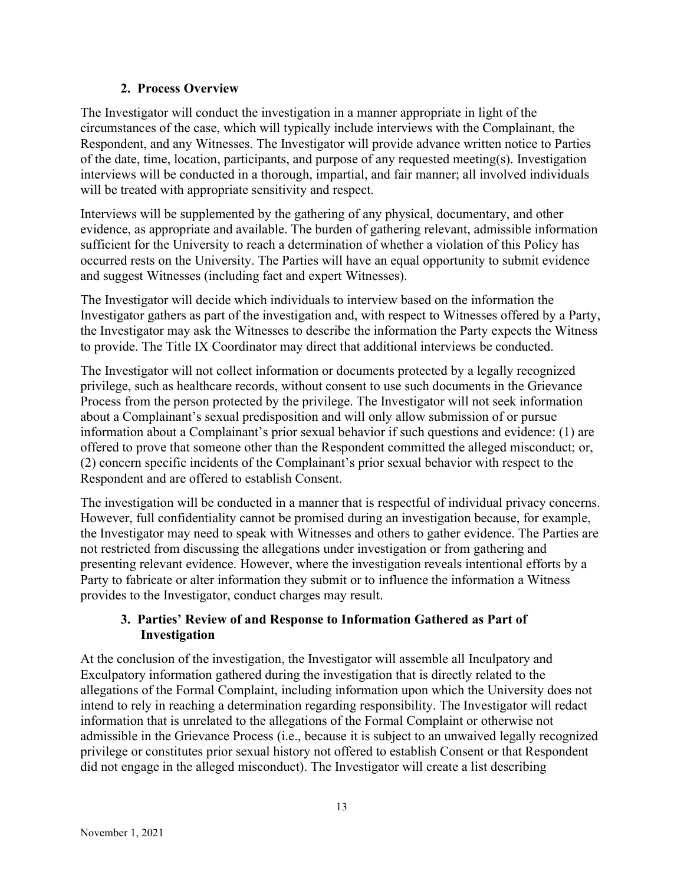### 2. Process Overview

The Investigator will conduct the investigation in a manner appropriate in light of the circumstances of the case, which will typically include interviews with the Complainant, the Respondent, and any Witnesses. The Investigator will provide advance written notice to Parties of the date, time, location, participants, and purpose of any requested meeting(s). Investigation interviews will be conducted in a thorough, impartial, and fair manner; all involved individuals will be treated with appropriate sensitivity and respect.

Interviews will be supplemented by the gathering of any physical, documentary, and other evidence, as appropriate and available. The burden of gathering relevant, admissible information sufficient for the University to reach a determination of whether a violation of this Policy has occurred rests on the University. The Parties will have an equal opportunity to submit evidence and suggest Witnesses (including fact and expert Witnesses).

The Investigator will decide which individuals to interview based on the information the Investigator gathers as part of the investigation and, with respect to Witnesses offered by a Party, the Investigator may ask the Witnesses to describe the information the Party expects the Witness to provide. The Title IX Coordinator may direct that additional interviews be conducted.

The Investigator will not collect information or documents protected by a legally recognized privilege, such as healthcare records, without consent to use such documents in the Grievance Process from the person protected by the privilege. The Investigator will not seek information about a Complainant's sexual predisposition and will only allow submission of or pursue information about a Complainant's prior sexual behavior if such questions and evidence: (1) are offered to prove that someone other than the Respondent committed the alleged misconduct; or, (2) concern specific incidents of the Complainant's prior sexual behavior with respect to the Respondent and are offered to establish Consent.

The investigation will be conducted in a manner that is respectful of individual privacy concerns. However, full confidentiality cannot be promised during an investigation because, for example, the Investigator may need to speak with Witnesses and others to gather evidence. The Parties are not restricted from discussing the allegations under investigation or from gathering and presenting relevant evidence. However, where the investigation reveals intentional efforts by a Party to fabricate or alter information they submit or to influence the information a Witness provides to the Investigator, conduct charges may result.

## 3. Parties' Review of and Response to Information Gathered as Part of Investigation

At the conclusion of the investigation, the Investigator will assemble all Inculpatory and Exculpatory information gathered during the investigation that is directly related to the allegations of the Formal Complaint, including information upon which the University does not intend to rely in reaching a determination regarding responsibility. The Investigator will redact information that is unrelated to the allegations of the Formal Complaint or otherwise not admissible in the Grievance Process (i.e., because it is subject to an unwaived legally recognized privilege or constitutes prior sexual history not offered to establish Consent or that Respondent did not engage in the alleged misconduct). The Investigator will create a list describing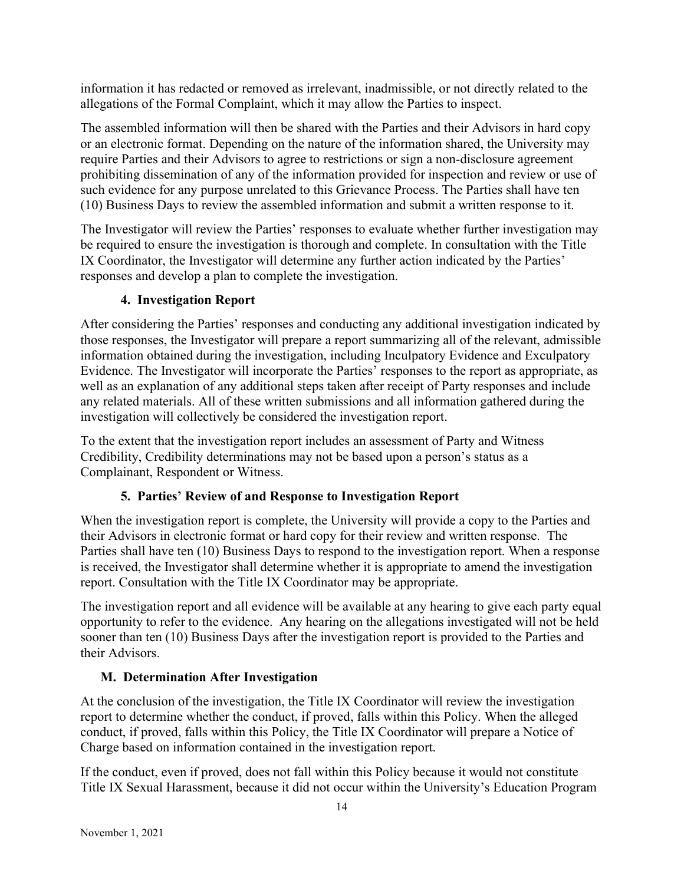information it has redacted or removed as irrelevant, inadmissible, or not directly related to the allegations of the Formal Complaint, which it may allow the Parties to inspect.

The assembled information will then be shared with the Parties and their Advisors in hard copy or an electronic format. Depending on the nature of the information shared, the University may require Parties and their Advisors to agree to restrictions or sign a non-disclosure agreement prohibiting dissemination of any of the information provided for inspection and review or use of such evidence for any purpose unrelated to this Grievance Process. The Parties shall have ten (10) Business Days to review the assembled information and submit a written response to it.

The Investigator will review the Parties' responses to evaluate whether further investigation may be required to ensure the investigation is thorough and complete. In consultation with the Title IX Coordinator, the Investigator will determine any further action indicated by the Parties' responses and develop a plan to complete the investigation.

# 4. Investigation Report

After considering the Parties' responses and conducting any additional investigation indicated by those responses, the Investigator will prepare a report summarizing all of the relevant, admissible information obtained during the investigation, including Inculpatory Evidence and Exculpatory Evidence. The Investigator will incorporate the Parties' responses to the report as appropriate, as well as an explanation of any additional steps taken after receipt of Party responses and include any related materials. All of these written submissions and all information gathered during the investigation will collectively be considered the investigation report.

To the extent that the investigation report includes an assessment of Party and Witness Credibility, Credibility determinations may not be based upon a person's status as a Complainant, Respondent or Witness.

# 5. Parties' Review of and Response to Investigation Report

When the investigation report is complete, the University will provide a copy to the Parties and their Advisors in electronic format or hard copy for their review and written response. The Parties shall have ten (10) Business Days to respond to the investigation report. When a response is received, the Investigator shall determine whether it is appropriate to amend the investigation report. Consultation with the Title IX Coordinator may be appropriate.

The investigation report and all evidence will be available at any hearing to give each party equal opportunity to refer to the evidence. Any hearing on the allegations investigated will not be held sooner than ten (10) Business Days after the investigation report is provided to the Parties and their Advisors.

# M. Determination After Investigation

At the conclusion of the investigation, the Title IX Coordinator will review the investigation report to determine whether the conduct, if proved, falls within this Policy. When the alleged conduct, if proved, falls within this Policy, the Title IX Coordinator will prepare a Notice of Charge based on information contained in the investigation report.

If the conduct, even if proved, does not fall within this Policy because it would not constitute Title IX Sexual Harassment, because it did not occur within the University's Education Program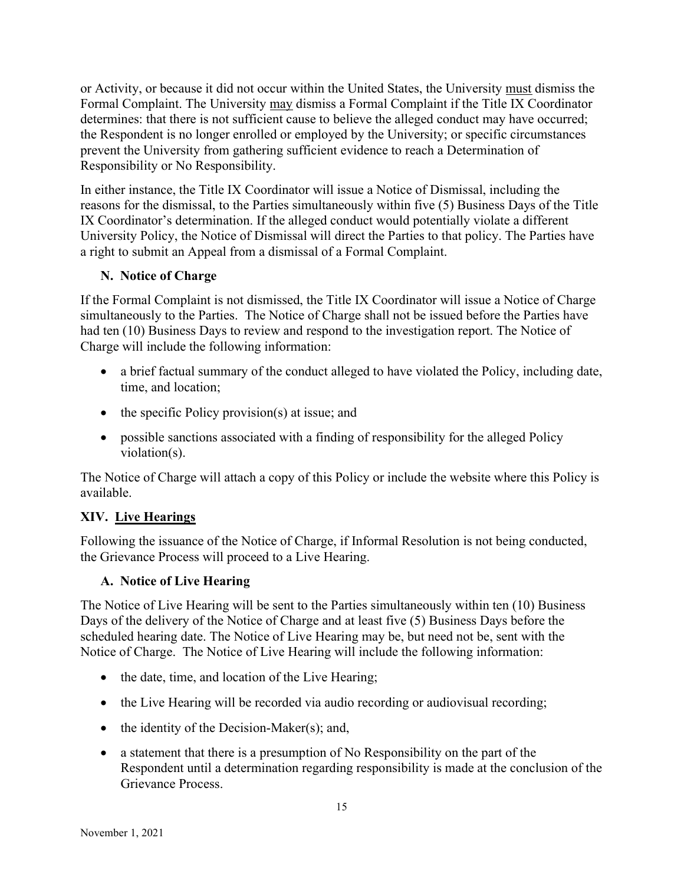or Activity, or because it did not occur within the United States, the University must dismiss the Formal Complaint. The University may dismiss a Formal Complaint if the Title IX Coordinator determines: that there is not sufficient cause to believe the alleged conduct may have occurred; the Respondent is no longer enrolled or employed by the University; or specific circumstances prevent the University from gathering sufficient evidence to reach a Determination of Responsibility or No Responsibility.

In either instance, the Title IX Coordinator will issue a Notice of Dismissal, including the reasons for the dismissal, to the Parties simultaneously within five (5) Business Days of the Title IX Coordinator's determination. If the alleged conduct would potentially violate a different University Policy, the Notice of Dismissal will direct the Parties to that policy. The Parties have a right to submit an Appeal from a dismissal of a Formal Complaint.

## N. Notice of Charge

If the Formal Complaint is not dismissed, the Title IX Coordinator will issue a Notice of Charge simultaneously to the Parties. The Notice of Charge shall not be issued before the Parties have had ten (10) Business Days to review and respond to the investigation report. The Notice of Charge will include the following information:

- a brief factual summary of the conduct alleged to have violated the Policy, including date, time, and location;
- $\bullet$  the specific Policy provision(s) at issue; and
- possible sanctions associated with a finding of responsibility for the alleged Policy violation(s).

The Notice of Charge will attach a copy of this Policy or include the website where this Policy is available.

# XIV. Live Hearings

Following the issuance of the Notice of Charge, if Informal Resolution is not being conducted, the Grievance Process will proceed to a Live Hearing.

# A. Notice of Live Hearing

The Notice of Live Hearing will be sent to the Parties simultaneously within ten (10) Business Days of the delivery of the Notice of Charge and at least five (5) Business Days before the scheduled hearing date. The Notice of Live Hearing may be, but need not be, sent with the Notice of Charge. The Notice of Live Hearing will include the following information:

- the date, time, and location of the Live Hearing;
- $\bullet$  the Live Hearing will be recorded via audio recording or audiovisual recording;
- $\bullet$  the identity of the Decision-Maker(s); and,
- a statement that there is a presumption of No Responsibility on the part of the Respondent until a determination regarding responsibility is made at the conclusion of the Grievance Process.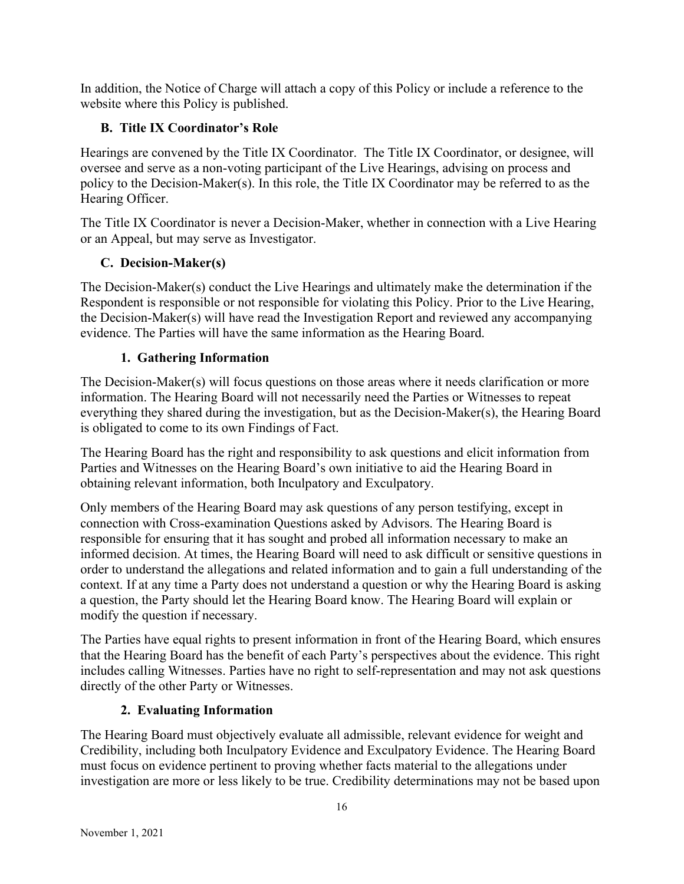In addition, the Notice of Charge will attach a copy of this Policy or include a reference to the website where this Policy is published.

## B. Title IX Coordinator's Role

Hearings are convened by the Title IX Coordinator. The Title IX Coordinator, or designee, will oversee and serve as a non-voting participant of the Live Hearings, advising on process and policy to the Decision-Maker(s). In this role, the Title IX Coordinator may be referred to as the Hearing Officer.

The Title IX Coordinator is never a Decision-Maker, whether in connection with a Live Hearing or an Appeal, but may serve as Investigator.

## C. Decision-Maker(s)

The Decision-Maker(s) conduct the Live Hearings and ultimately make the determination if the Respondent is responsible or not responsible for violating this Policy. Prior to the Live Hearing, the Decision-Maker(s) will have read the Investigation Report and reviewed any accompanying evidence. The Parties will have the same information as the Hearing Board.

## 1. Gathering Information

The Decision-Maker(s) will focus questions on those areas where it needs clarification or more information. The Hearing Board will not necessarily need the Parties or Witnesses to repeat everything they shared during the investigation, but as the Decision-Maker(s), the Hearing Board is obligated to come to its own Findings of Fact.

The Hearing Board has the right and responsibility to ask questions and elicit information from Parties and Witnesses on the Hearing Board's own initiative to aid the Hearing Board in obtaining relevant information, both Inculpatory and Exculpatory.

Only members of the Hearing Board may ask questions of any person testifying, except in connection with Cross-examination Questions asked by Advisors. The Hearing Board is responsible for ensuring that it has sought and probed all information necessary to make an informed decision. At times, the Hearing Board will need to ask difficult or sensitive questions in order to understand the allegations and related information and to gain a full understanding of the context. If at any time a Party does not understand a question or why the Hearing Board is asking a question, the Party should let the Hearing Board know. The Hearing Board will explain or modify the question if necessary.

The Parties have equal rights to present information in front of the Hearing Board, which ensures that the Hearing Board has the benefit of each Party's perspectives about the evidence. This right includes calling Witnesses. Parties have no right to self-representation and may not ask questions directly of the other Party or Witnesses.

## 2. Evaluating Information

The Hearing Board must objectively evaluate all admissible, relevant evidence for weight and Credibility, including both Inculpatory Evidence and Exculpatory Evidence. The Hearing Board must focus on evidence pertinent to proving whether facts material to the allegations under investigation are more or less likely to be true. Credibility determinations may not be based upon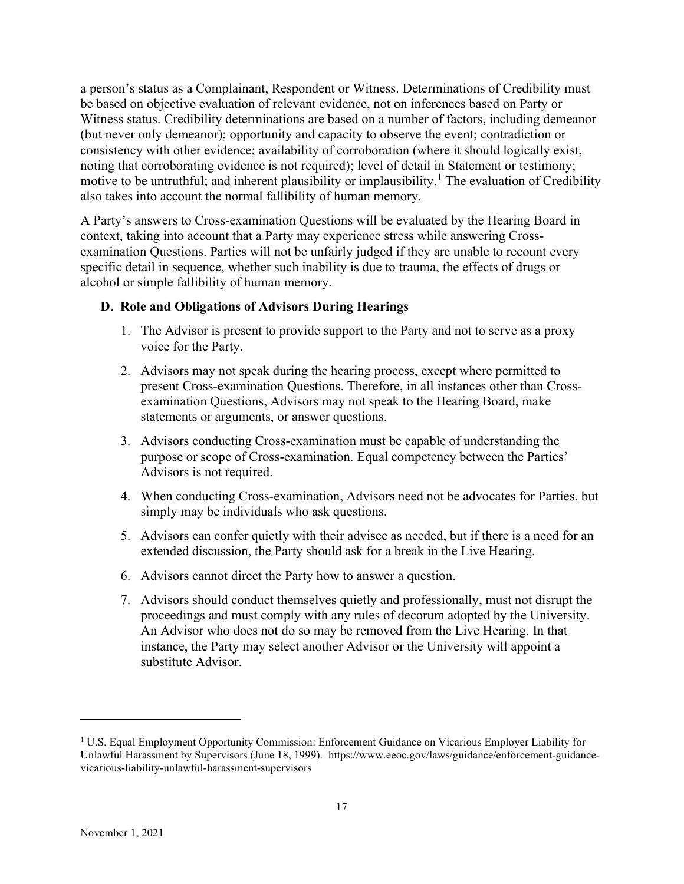a person's status as a Complainant, Respondent or Witness. Determinations of Credibility must be based on objective evaluation of relevant evidence, not on inferences based on Party or Witness status. Credibility determinations are based on a number of factors, including demeanor (but never only demeanor); opportunity and capacity to observe the event; contradiction or consistency with other evidence; availability of corroboration (where it should logically exist, noting that corroborating evidence is not required); level of detail in Statement or testimony; motive to be untruthful; and inherent plausibility or implausibility.<sup>1</sup> The evaluation of Credibility also takes into account the normal fallibility of human memory.

A Party's answers to Cross-examination Questions will be evaluated by the Hearing Board in context, taking into account that a Party may experience stress while answering Crossexamination Questions. Parties will not be unfairly judged if they are unable to recount every specific detail in sequence, whether such inability is due to trauma, the effects of drugs or alcohol or simple fallibility of human memory.

### D. Role and Obligations of Advisors During Hearings

- 1. The Advisor is present to provide support to the Party and not to serve as a proxy voice for the Party.
- 2. Advisors may not speak during the hearing process, except where permitted to present Cross-examination Questions. Therefore, in all instances other than Crossexamination Questions, Advisors may not speak to the Hearing Board, make statements or arguments, or answer questions.
- 3. Advisors conducting Cross-examination must be capable of understanding the purpose or scope of Cross-examination. Equal competency between the Parties' Advisors is not required.
- 4. When conducting Cross-examination, Advisors need not be advocates for Parties, but simply may be individuals who ask questions.
- 5. Advisors can confer quietly with their advisee as needed, but if there is a need for an extended discussion, the Party should ask for a break in the Live Hearing.
- 6. Advisors cannot direct the Party how to answer a question.
- 7. Advisors should conduct themselves quietly and professionally, must not disrupt the proceedings and must comply with any rules of decorum adopted by the University. An Advisor who does not do so may be removed from the Live Hearing. In that instance, the Party may select another Advisor or the University will appoint a substitute Advisor.

<sup>&</sup>lt;sup>1</sup> U.S. Equal Employment Opportunity Commission: Enforcement Guidance on Vicarious Employer Liability for Unlawful Harassment by Supervisors (June 18, 1999). https://www.eeoc.gov/laws/guidance/enforcement-guidancevicarious-liability-unlawful-harassment-supervisors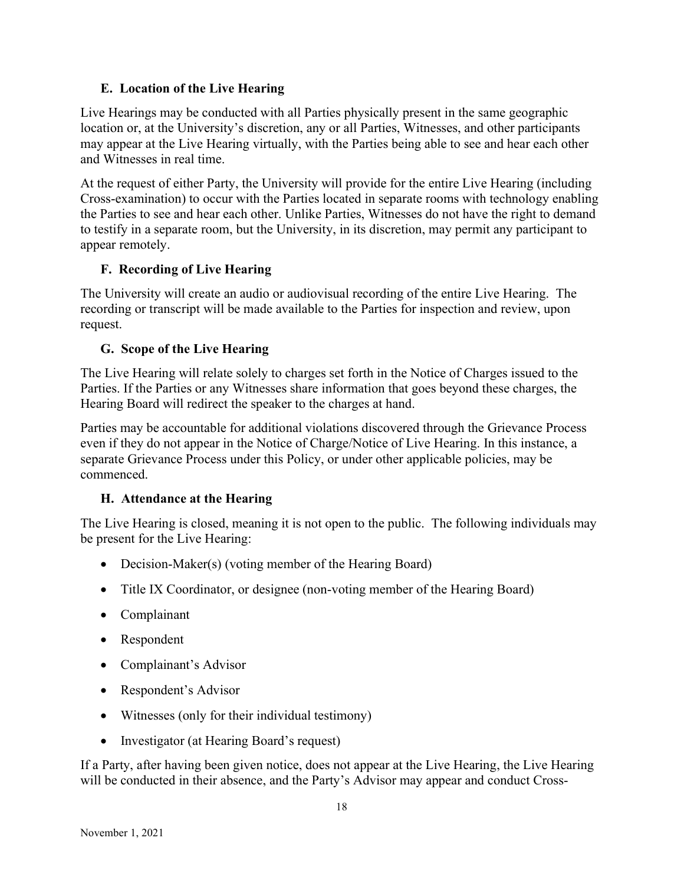## E. Location of the Live Hearing

Live Hearings may be conducted with all Parties physically present in the same geographic location or, at the University's discretion, any or all Parties, Witnesses, and other participants may appear at the Live Hearing virtually, with the Parties being able to see and hear each other and Witnesses in real time.

At the request of either Party, the University will provide for the entire Live Hearing (including Cross-examination) to occur with the Parties located in separate rooms with technology enabling the Parties to see and hear each other. Unlike Parties, Witnesses do not have the right to demand to testify in a separate room, but the University, in its discretion, may permit any participant to appear remotely.

## F. Recording of Live Hearing

The University will create an audio or audiovisual recording of the entire Live Hearing. The recording or transcript will be made available to the Parties for inspection and review, upon request.

## G. Scope of the Live Hearing

The Live Hearing will relate solely to charges set forth in the Notice of Charges issued to the Parties. If the Parties or any Witnesses share information that goes beyond these charges, the Hearing Board will redirect the speaker to the charges at hand.

Parties may be accountable for additional violations discovered through the Grievance Process even if they do not appear in the Notice of Charge/Notice of Live Hearing. In this instance, a separate Grievance Process under this Policy, or under other applicable policies, may be commenced.

## H. Attendance at the Hearing

The Live Hearing is closed, meaning it is not open to the public. The following individuals may be present for the Live Hearing:

- Decision-Maker(s) (voting member of the Hearing Board)
- Title IX Coordinator, or designee (non-voting member of the Hearing Board)
- Complainant
- Respondent
- Complainant's Advisor
- Respondent's Advisor
- Witnesses (only for their individual testimony)
- Investigator (at Hearing Board's request)

If a Party, after having been given notice, does not appear at the Live Hearing, the Live Hearing will be conducted in their absence, and the Party's Advisor may appear and conduct Cross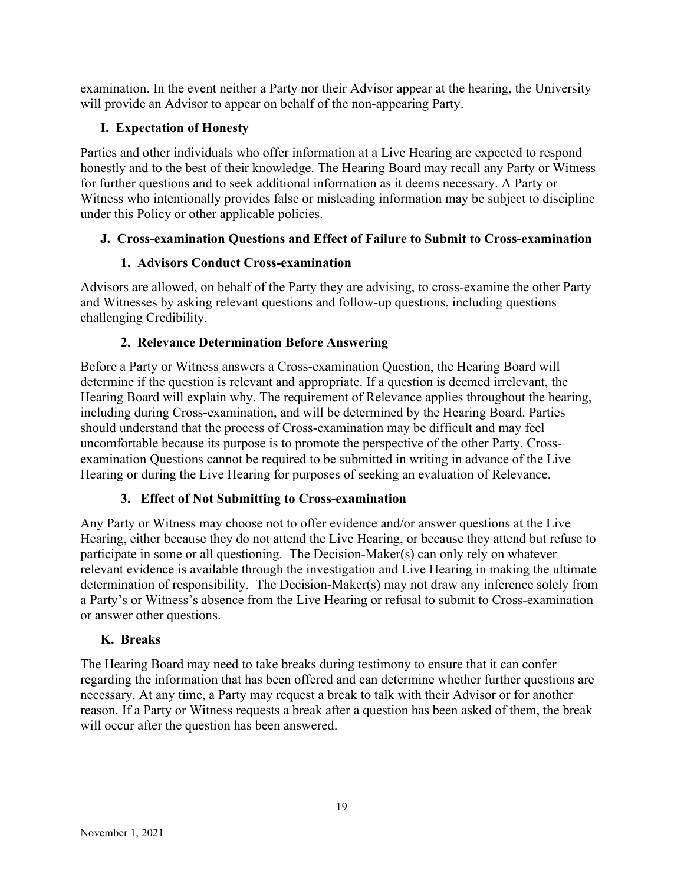examination. In the event neither a Party nor their Advisor appear at the hearing, the University will provide an Advisor to appear on behalf of the non-appearing Party.

## I. Expectation of Honesty

Parties and other individuals who offer information at a Live Hearing are expected to respond honestly and to the best of their knowledge. The Hearing Board may recall any Party or Witness for further questions and to seek additional information as it deems necessary. A Party or Witness who intentionally provides false or misleading information may be subject to discipline under this Policy or other applicable policies.

## J. Cross-examination Questions and Effect of Failure to Submit to Cross-examination

## 1. Advisors Conduct Cross-examination

Advisors are allowed, on behalf of the Party they are advising, to cross-examine the other Party and Witnesses by asking relevant questions and follow-up questions, including questions challenging Credibility.

## 2. Relevance Determination Before Answering

Before a Party or Witness answers a Cross-examination Question, the Hearing Board will determine if the question is relevant and appropriate. If a question is deemed irrelevant, the Hearing Board will explain why. The requirement of Relevance applies throughout the hearing, including during Cross-examination, and will be determined by the Hearing Board. Parties should understand that the process of Cross-examination may be difficult and may feel uncomfortable because its purpose is to promote the perspective of the other Party. Crossexamination Questions cannot be required to be submitted in writing in advance of the Live Hearing or during the Live Hearing for purposes of seeking an evaluation of Relevance.

## 3. Effect of Not Submitting to Cross-examination

Any Party or Witness may choose not to offer evidence and/or answer questions at the Live Hearing, either because they do not attend the Live Hearing, or because they attend but refuse to participate in some or all questioning. The Decision-Maker(s) can only rely on whatever relevant evidence is available through the investigation and Live Hearing in making the ultimate determination of responsibility. The Decision-Maker(s) may not draw any inference solely from a Party's or Witness's absence from the Live Hearing or refusal to submit to Cross-examination or answer other questions.

## K. Breaks

The Hearing Board may need to take breaks during testimony to ensure that it can confer regarding the information that has been offered and can determine whether further questions are necessary. At any time, a Party may request a break to talk with their Advisor or for another reason. If a Party or Witness requests a break after a question has been asked of them, the break will occur after the question has been answered.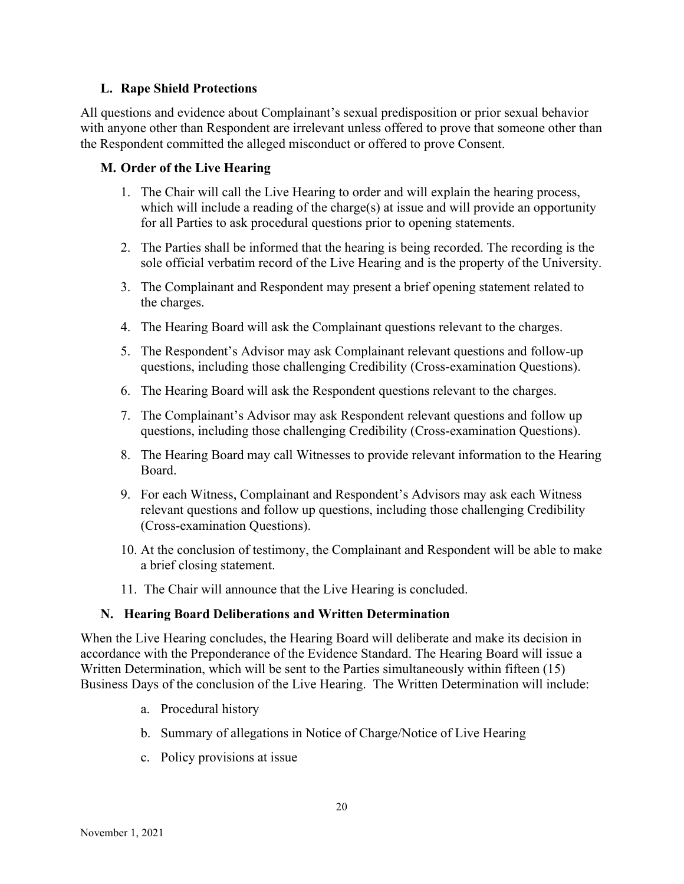### L. Rape Shield Protections

All questions and evidence about Complainant's sexual predisposition or prior sexual behavior with anyone other than Respondent are irrelevant unless offered to prove that someone other than the Respondent committed the alleged misconduct or offered to prove Consent.

### M. Order of the Live Hearing

- 1. The Chair will call the Live Hearing to order and will explain the hearing process, which will include a reading of the charge(s) at issue and will provide an opportunity for all Parties to ask procedural questions prior to opening statements.
- 2. The Parties shall be informed that the hearing is being recorded. The recording is the sole official verbatim record of the Live Hearing and is the property of the University.
- 3. The Complainant and Respondent may present a brief opening statement related to the charges.
- 4. The Hearing Board will ask the Complainant questions relevant to the charges.
- 5. The Respondent's Advisor may ask Complainant relevant questions and follow-up questions, including those challenging Credibility (Cross-examination Questions).
- 6. The Hearing Board will ask the Respondent questions relevant to the charges.
- 7. The Complainant's Advisor may ask Respondent relevant questions and follow up questions, including those challenging Credibility (Cross-examination Questions).
- 8. The Hearing Board may call Witnesses to provide relevant information to the Hearing Board.
- 9. For each Witness, Complainant and Respondent's Advisors may ask each Witness relevant questions and follow up questions, including those challenging Credibility (Cross-examination Questions).
- 10. At the conclusion of testimony, the Complainant and Respondent will be able to make a brief closing statement.
- 11. The Chair will announce that the Live Hearing is concluded.

## N. Hearing Board Deliberations and Written Determination

When the Live Hearing concludes, the Hearing Board will deliberate and make its decision in accordance with the Preponderance of the Evidence Standard. The Hearing Board will issue a Written Determination, which will be sent to the Parties simultaneously within fifteen (15) Business Days of the conclusion of the Live Hearing. The Written Determination will include:

- a. Procedural history
- b. Summary of allegations in Notice of Charge/Notice of Live Hearing
- c. Policy provisions at issue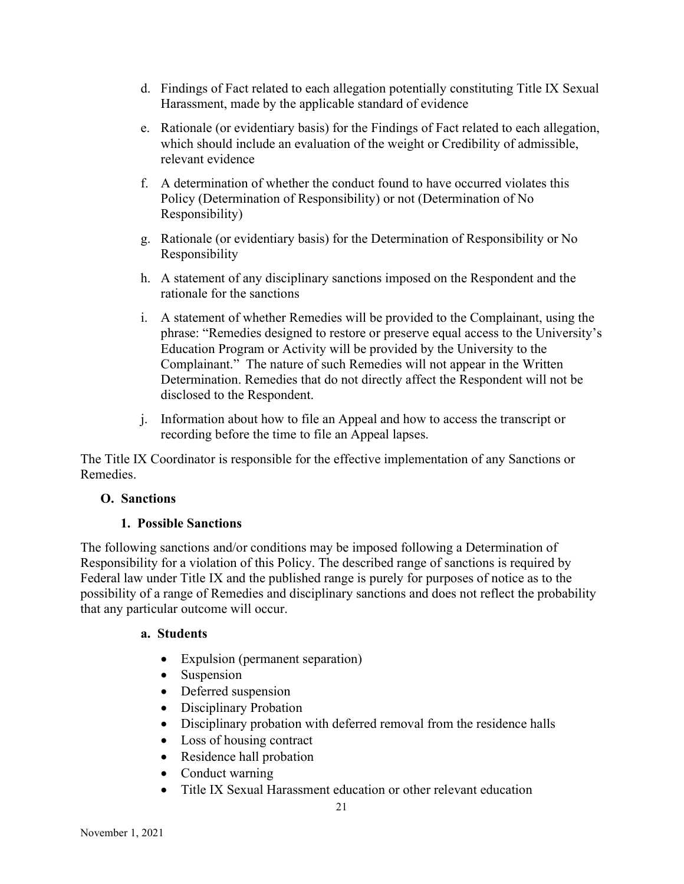- d. Findings of Fact related to each allegation potentially constituting Title IX Sexual Harassment, made by the applicable standard of evidence
- e. Rationale (or evidentiary basis) for the Findings of Fact related to each allegation, which should include an evaluation of the weight or Credibility of admissible, relevant evidence
- f. A determination of whether the conduct found to have occurred violates this Policy (Determination of Responsibility) or not (Determination of No Responsibility)
- g. Rationale (or evidentiary basis) for the Determination of Responsibility or No Responsibility
- h. A statement of any disciplinary sanctions imposed on the Respondent and the rationale for the sanctions
- i. A statement of whether Remedies will be provided to the Complainant, using the phrase: "Remedies designed to restore or preserve equal access to the University's Education Program or Activity will be provided by the University to the Complainant." The nature of such Remedies will not appear in the Written Determination. Remedies that do not directly affect the Respondent will not be disclosed to the Respondent.
- j. Information about how to file an Appeal and how to access the transcript or recording before the time to file an Appeal lapses.

The Title IX Coordinator is responsible for the effective implementation of any Sanctions or Remedies.

### O. Sanctions

## 1. Possible Sanctions

The following sanctions and/or conditions may be imposed following a Determination of Responsibility for a violation of this Policy. The described range of sanctions is required by Federal law under Title IX and the published range is purely for purposes of notice as to the possibility of a range of Remedies and disciplinary sanctions and does not reflect the probability that any particular outcome will occur.

### a. Students

- Expulsion (permanent separation)
- Suspension
- Deferred suspension
- Disciplinary Probation
- Disciplinary probation with deferred removal from the residence halls
- Loss of housing contract
- Residence hall probation
- Conduct warning
- Title IX Sexual Harassment education or other relevant education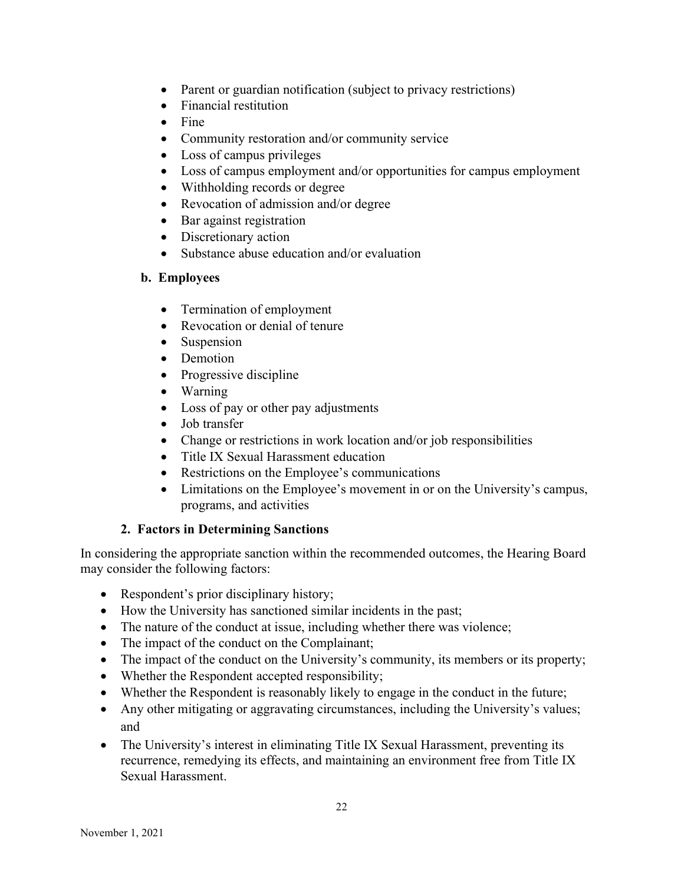- Parent or guardian notification (subject to privacy restrictions)
- Financial restitution
- $\bullet$  Fine
- Community restoration and/or community service
- Loss of campus privileges
- Loss of campus employment and/or opportunities for campus employment
- Withholding records or degree
- Revocation of admission and/or degree
- Bar against registration
- Discretionary action
- Substance abuse education and/or evaluation

### b. Employees

- Termination of employment
- Revocation or denial of tenure
- Suspension
- Demotion
- Progressive discipline
- Warning
- Loss of pay or other pay adjustments
- Job transfer
- Change or restrictions in work location and/or job responsibilities
- Title IX Sexual Harassment education
- Restrictions on the Employee's communications
- Limitations on the Employee's movement in or on the University's campus, programs, and activities

### 2. Factors in Determining Sanctions

In considering the appropriate sanction within the recommended outcomes, the Hearing Board may consider the following factors:

- Respondent's prior disciplinary history;
- How the University has sanctioned similar incidents in the past;
- The nature of the conduct at issue, including whether there was violence;
- The impact of the conduct on the Complainant;
- The impact of the conduct on the University's community, its members or its property;
- Whether the Respondent accepted responsibility;
- Whether the Respondent is reasonably likely to engage in the conduct in the future;
- Any other mitigating or aggravating circumstances, including the University's values; and
- The University's interest in eliminating Title IX Sexual Harassment, preventing its recurrence, remedying its effects, and maintaining an environment free from Title IX Sexual Harassment.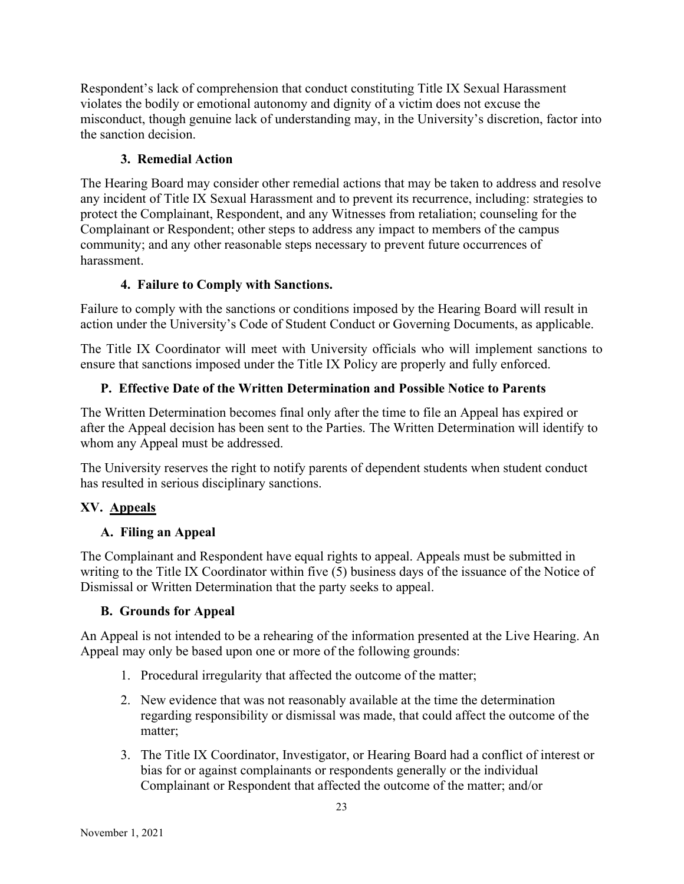Respondent's lack of comprehension that conduct constituting Title IX Sexual Harassment violates the bodily or emotional autonomy and dignity of a victim does not excuse the misconduct, though genuine lack of understanding may, in the University's discretion, factor into the sanction decision.

## 3. Remedial Action

The Hearing Board may consider other remedial actions that may be taken to address and resolve any incident of Title IX Sexual Harassment and to prevent its recurrence, including: strategies to protect the Complainant, Respondent, and any Witnesses from retaliation; counseling for the Complainant or Respondent; other steps to address any impact to members of the campus community; and any other reasonable steps necessary to prevent future occurrences of harassment.

## 4. Failure to Comply with Sanctions.

Failure to comply with the sanctions or conditions imposed by the Hearing Board will result in action under the University's Code of Student Conduct or Governing Documents, as applicable.

The Title IX Coordinator will meet with University officials who will implement sanctions to ensure that sanctions imposed under the Title IX Policy are properly and fully enforced.

# P. Effective Date of the Written Determination and Possible Notice to Parents

The Written Determination becomes final only after the time to file an Appeal has expired or after the Appeal decision has been sent to the Parties. The Written Determination will identify to whom any Appeal must be addressed.

The University reserves the right to notify parents of dependent students when student conduct has resulted in serious disciplinary sanctions.

# XV. Appeals

## A. Filing an Appeal

The Complainant and Respondent have equal rights to appeal. Appeals must be submitted in writing to the Title IX Coordinator within five  $(5)$  business days of the issuance of the Notice of Dismissal or Written Determination that the party seeks to appeal.

## B. Grounds for Appeal

An Appeal is not intended to be a rehearing of the information presented at the Live Hearing. An Appeal may only be based upon one or more of the following grounds:

- 1. Procedural irregularity that affected the outcome of the matter;
- 2. New evidence that was not reasonably available at the time the determination regarding responsibility or dismissal was made, that could affect the outcome of the matter;
- 3. The Title IX Coordinator, Investigator, or Hearing Board had a conflict of interest or bias for or against complainants or respondents generally or the individual Complainant or Respondent that affected the outcome of the matter; and/or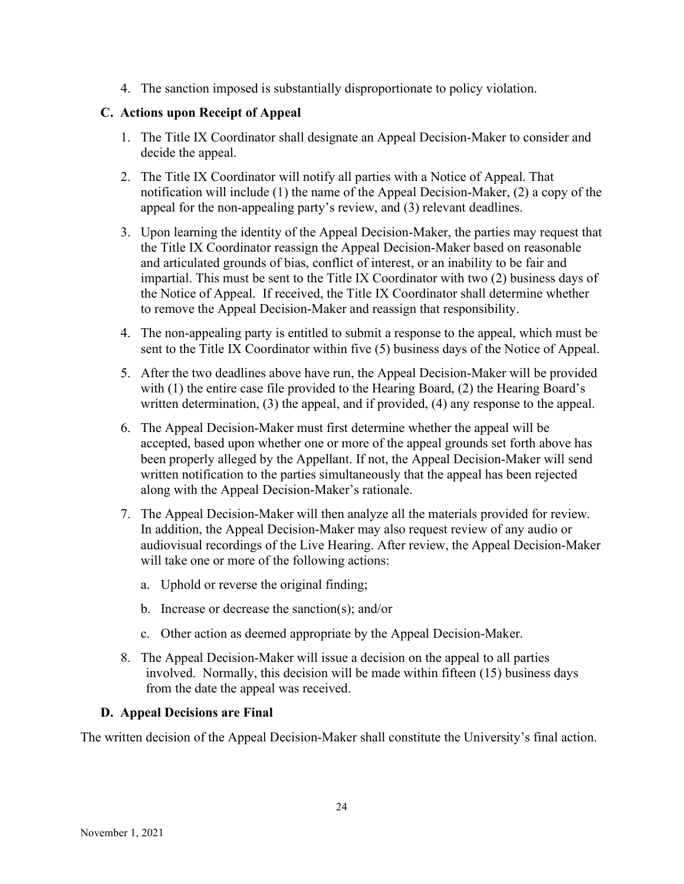4. The sanction imposed is substantially disproportionate to policy violation.

## C. Actions upon Receipt of Appeal

- 1. The Title IX Coordinator shall designate an Appeal Decision-Maker to consider and decide the appeal.
- 2. The Title IX Coordinator will notify all parties with a Notice of Appeal. That notification will include (1) the name of the Appeal Decision-Maker, (2) a copy of the appeal for the non-appealing party's review, and (3) relevant deadlines.
- 3. Upon learning the identity of the Appeal Decision-Maker, the parties may request that the Title IX Coordinator reassign the Appeal Decision-Maker based on reasonable and articulated grounds of bias, conflict of interest, or an inability to be fair and impartial. This must be sent to the Title IX Coordinator with two (2) business days of the Notice of Appeal. If received, the Title IX Coordinator shall determine whether to remove the Appeal Decision-Maker and reassign that responsibility.
- 4. The non-appealing party is entitled to submit a response to the appeal, which must be sent to the Title IX Coordinator within five (5) business days of the Notice of Appeal.
- 5. After the two deadlines above have run, the Appeal Decision-Maker will be provided with (1) the entire case file provided to the Hearing Board, (2) the Hearing Board's written determination, (3) the appeal, and if provided, (4) any response to the appeal.
- 6. The Appeal Decision-Maker must first determine whether the appeal will be accepted, based upon whether one or more of the appeal grounds set forth above has been properly alleged by the Appellant. If not, the Appeal Decision-Maker will send written notification to the parties simultaneously that the appeal has been rejected along with the Appeal Decision-Maker's rationale.
- 7. The Appeal Decision-Maker will then analyze all the materials provided for review. In addition, the Appeal Decision-Maker may also request review of any audio or audiovisual recordings of the Live Hearing. After review, the Appeal Decision-Maker will take one or more of the following actions:
	- a. Uphold or reverse the original finding;
	- b. Increase or decrease the sanction(s); and/or
	- c. Other action as deemed appropriate by the Appeal Decision-Maker.
- 8. The Appeal Decision-Maker will issue a decision on the appeal to all parties involved. Normally, this decision will be made within fifteen (15) business days from the date the appeal was received.

## D. Appeal Decisions are Final

The written decision of the Appeal Decision-Maker shall constitute the University's final action.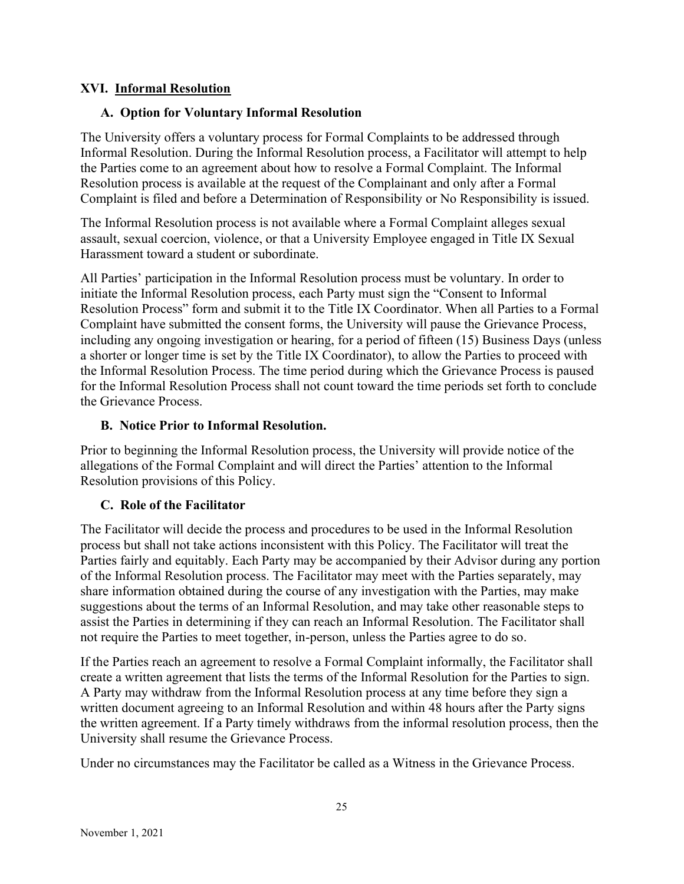### XVI. Informal Resolution

### A. Option for Voluntary Informal Resolution

The University offers a voluntary process for Formal Complaints to be addressed through Informal Resolution. During the Informal Resolution process, a Facilitator will attempt to help the Parties come to an agreement about how to resolve a Formal Complaint. The Informal Resolution process is available at the request of the Complainant and only after a Formal Complaint is filed and before a Determination of Responsibility or No Responsibility is issued.

The Informal Resolution process is not available where a Formal Complaint alleges sexual assault, sexual coercion, violence, or that a University Employee engaged in Title IX Sexual Harassment toward a student or subordinate.

All Parties' participation in the Informal Resolution process must be voluntary. In order to initiate the Informal Resolution process, each Party must sign the "Consent to Informal Resolution Process" form and submit it to the Title IX Coordinator. When all Parties to a Formal Complaint have submitted the consent forms, the University will pause the Grievance Process, including any ongoing investigation or hearing, for a period of fifteen (15) Business Days (unless a shorter or longer time is set by the Title IX Coordinator), to allow the Parties to proceed with the Informal Resolution Process. The time period during which the Grievance Process is paused for the Informal Resolution Process shall not count toward the time periods set forth to conclude the Grievance Process.

### B. Notice Prior to Informal Resolution.

Prior to beginning the Informal Resolution process, the University will provide notice of the allegations of the Formal Complaint and will direct the Parties' attention to the Informal Resolution provisions of this Policy.

## C. Role of the Facilitator

The Facilitator will decide the process and procedures to be used in the Informal Resolution process but shall not take actions inconsistent with this Policy. The Facilitator will treat the Parties fairly and equitably. Each Party may be accompanied by their Advisor during any portion of the Informal Resolution process. The Facilitator may meet with the Parties separately, may share information obtained during the course of any investigation with the Parties, may make suggestions about the terms of an Informal Resolution, and may take other reasonable steps to assist the Parties in determining if they can reach an Informal Resolution. The Facilitator shall not require the Parties to meet together, in-person, unless the Parties agree to do so.

If the Parties reach an agreement to resolve a Formal Complaint informally, the Facilitator shall create a written agreement that lists the terms of the Informal Resolution for the Parties to sign. A Party may withdraw from the Informal Resolution process at any time before they sign a written document agreeing to an Informal Resolution and within 48 hours after the Party signs the written agreement. If a Party timely withdraws from the informal resolution process, then the University shall resume the Grievance Process.

Under no circumstances may the Facilitator be called as a Witness in the Grievance Process.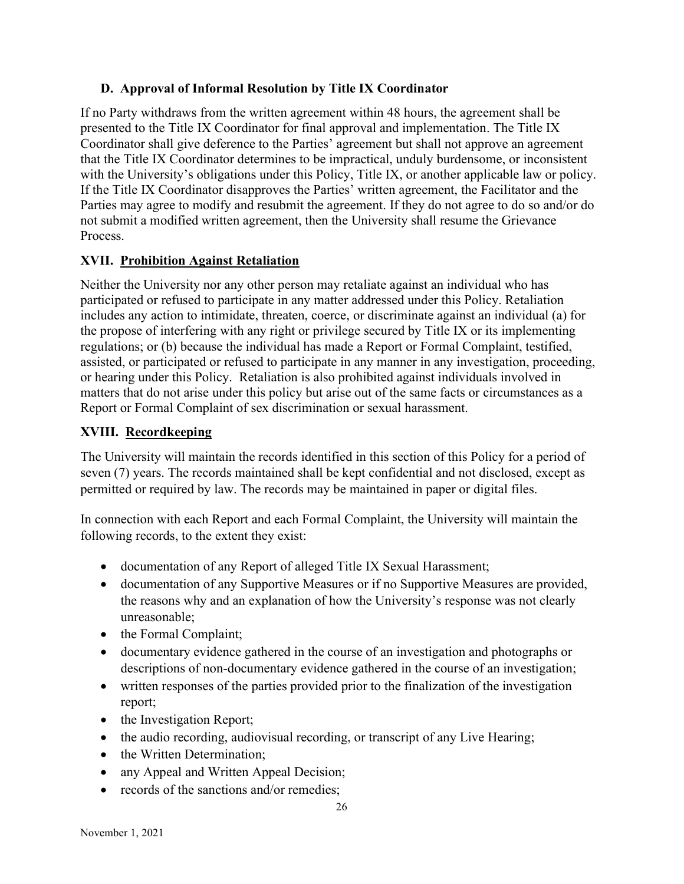## D. Approval of Informal Resolution by Title IX Coordinator

If no Party withdraws from the written agreement within 48 hours, the agreement shall be presented to the Title IX Coordinator for final approval and implementation. The Title IX Coordinator shall give deference to the Parties' agreement but shall not approve an agreement that the Title IX Coordinator determines to be impractical, unduly burdensome, or inconsistent with the University's obligations under this Policy, Title IX, or another applicable law or policy. If the Title IX Coordinator disapproves the Parties' written agreement, the Facilitator and the Parties may agree to modify and resubmit the agreement. If they do not agree to do so and/or do not submit a modified written agreement, then the University shall resume the Grievance Process.

## XVII. Prohibition Against Retaliation

Neither the University nor any other person may retaliate against an individual who has participated or refused to participate in any matter addressed under this Policy. Retaliation includes any action to intimidate, threaten, coerce, or discriminate against an individual (a) for the propose of interfering with any right or privilege secured by Title IX or its implementing regulations; or (b) because the individual has made a Report or Formal Complaint, testified, assisted, or participated or refused to participate in any manner in any investigation, proceeding, or hearing under this Policy. Retaliation is also prohibited against individuals involved in matters that do not arise under this policy but arise out of the same facts or circumstances as a Report or Formal Complaint of sex discrimination or sexual harassment.

# XVIII. Recordkeeping

The University will maintain the records identified in this section of this Policy for a period of seven (7) years. The records maintained shall be kept confidential and not disclosed, except as permitted or required by law. The records may be maintained in paper or digital files.

In connection with each Report and each Formal Complaint, the University will maintain the following records, to the extent they exist:

- documentation of any Report of alleged Title IX Sexual Harassment;
- documentation of any Supportive Measures or if no Supportive Measures are provided, the reasons why and an explanation of how the University's response was not clearly unreasonable;
- the Formal Complaint;
- documentary evidence gathered in the course of an investigation and photographs or descriptions of non-documentary evidence gathered in the course of an investigation;
- written responses of the parties provided prior to the finalization of the investigation report;
- the Investigation Report;
- the audio recording, audiovisual recording, or transcript of any Live Hearing;
- the Written Determination;
- any Appeal and Written Appeal Decision;
- records of the sanctions and/or remedies: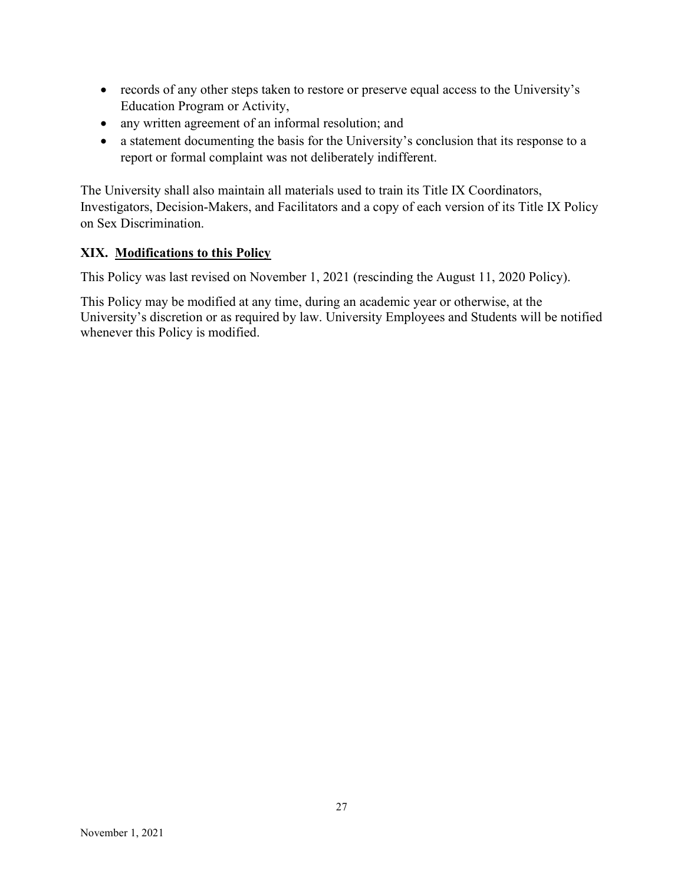- records of any other steps taken to restore or preserve equal access to the University's Education Program or Activity,
- any written agreement of an informal resolution; and
- a statement documenting the basis for the University's conclusion that its response to a report or formal complaint was not deliberately indifferent.

The University shall also maintain all materials used to train its Title IX Coordinators, Investigators, Decision-Makers, and Facilitators and a copy of each version of its Title IX Policy on Sex Discrimination.

## XIX. Modifications to this Policy

This Policy was last revised on November 1, 2021 (rescinding the August 11, 2020 Policy).

This Policy may be modified at any time, during an academic year or otherwise, at the University's discretion or as required by law. University Employees and Students will be notified whenever this Policy is modified.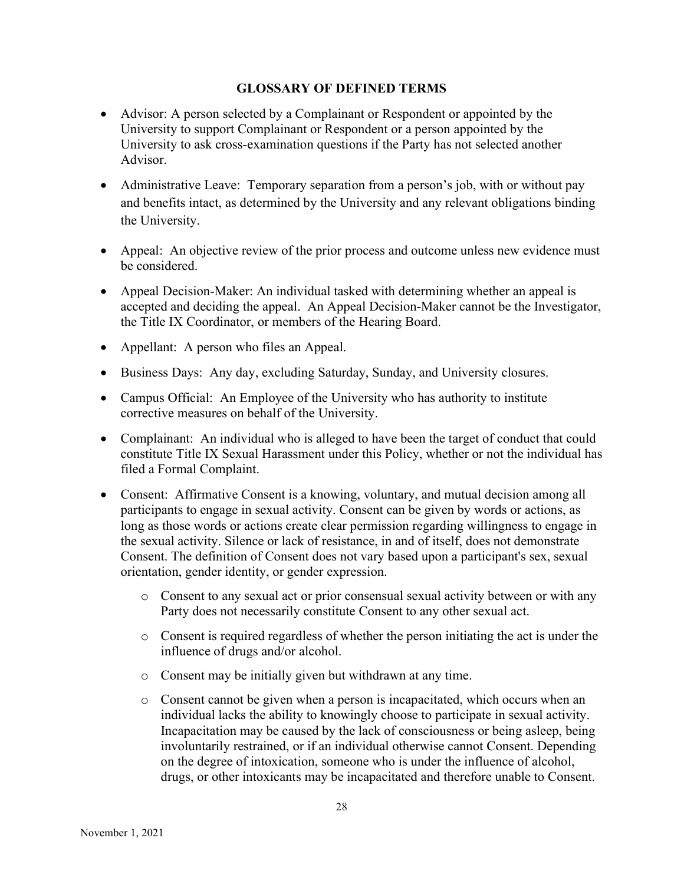### GLOSSARY OF DEFINED TERMS

- Advisor: A person selected by a Complainant or Respondent or appointed by the University to support Complainant or Respondent or a person appointed by the University to ask cross-examination questions if the Party has not selected another Advisor.
- Administrative Leave: Temporary separation from a person's job, with or without pay and benefits intact, as determined by the University and any relevant obligations binding the University.
- Appeal: An objective review of the prior process and outcome unless new evidence must be considered.
- Appeal Decision-Maker: An individual tasked with determining whether an appeal is accepted and deciding the appeal. An Appeal Decision-Maker cannot be the Investigator, the Title IX Coordinator, or members of the Hearing Board.
- Appellant: A person who files an Appeal.
- Business Days: Any day, excluding Saturday, Sunday, and University closures.
- Campus Official: An Employee of the University who has authority to institute corrective measures on behalf of the University.
- Complainant: An individual who is alleged to have been the target of conduct that could constitute Title IX Sexual Harassment under this Policy, whether or not the individual has filed a Formal Complaint.
- Consent: Affirmative Consent is a knowing, voluntary, and mutual decision among all participants to engage in sexual activity. Consent can be given by words or actions, as long as those words or actions create clear permission regarding willingness to engage in the sexual activity. Silence or lack of resistance, in and of itself, does not demonstrate Consent. The definition of Consent does not vary based upon a participant's sex, sexual orientation, gender identity, or gender expression.
	- o Consent to any sexual act or prior consensual sexual activity between or with any Party does not necessarily constitute Consent to any other sexual act.
	- o Consent is required regardless of whether the person initiating the act is under the influence of drugs and/or alcohol.
	- o Consent may be initially given but withdrawn at any time.
	- o Consent cannot be given when a person is incapacitated, which occurs when an individual lacks the ability to knowingly choose to participate in sexual activity. Incapacitation may be caused by the lack of consciousness or being asleep, being involuntarily restrained, or if an individual otherwise cannot Consent. Depending on the degree of intoxication, someone who is under the influence of alcohol, drugs, or other intoxicants may be incapacitated and therefore unable to Consent.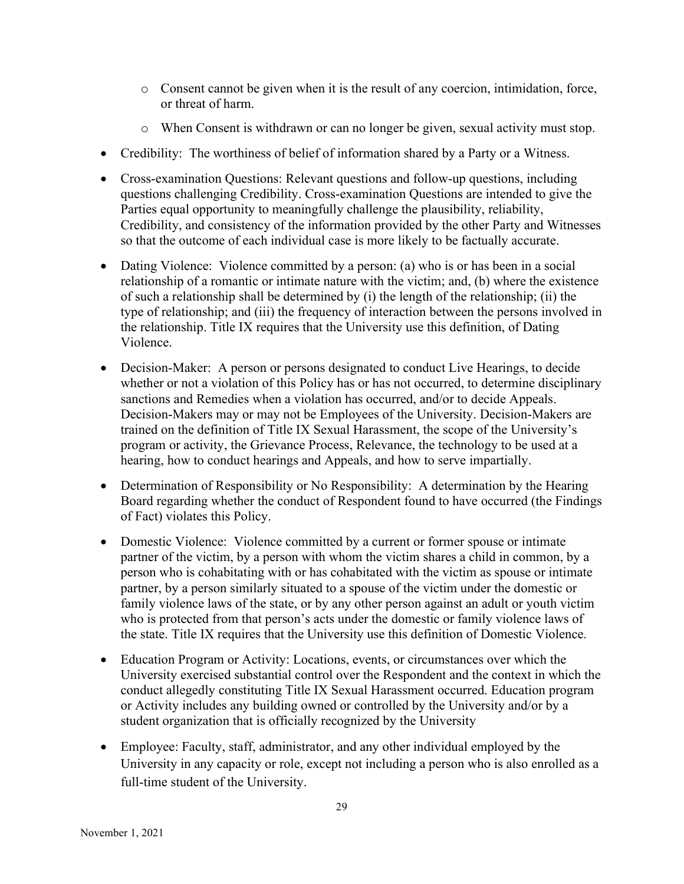- o Consent cannot be given when it is the result of any coercion, intimidation, force, or threat of harm.
- o When Consent is withdrawn or can no longer be given, sexual activity must stop.
- Credibility: The worthiness of belief of information shared by a Party or a Witness.
- Cross-examination Questions: Relevant questions and follow-up questions, including questions challenging Credibility. Cross-examination Questions are intended to give the Parties equal opportunity to meaningfully challenge the plausibility, reliability, Credibility, and consistency of the information provided by the other Party and Witnesses so that the outcome of each individual case is more likely to be factually accurate.
- Dating Violence: Violence committed by a person: (a) who is or has been in a social relationship of a romantic or intimate nature with the victim; and, (b) where the existence of such a relationship shall be determined by (i) the length of the relationship; (ii) the type of relationship; and (iii) the frequency of interaction between the persons involved in the relationship. Title IX requires that the University use this definition, of Dating Violence.
- Decision-Maker: A person or persons designated to conduct Live Hearings, to decide whether or not a violation of this Policy has or has not occurred, to determine disciplinary sanctions and Remedies when a violation has occurred, and/or to decide Appeals. Decision-Makers may or may not be Employees of the University. Decision-Makers are trained on the definition of Title IX Sexual Harassment, the scope of the University's program or activity, the Grievance Process, Relevance, the technology to be used at a hearing, how to conduct hearings and Appeals, and how to serve impartially.
- Determination of Responsibility or No Responsibility: A determination by the Hearing Board regarding whether the conduct of Respondent found to have occurred (the Findings of Fact) violates this Policy.
- Domestic Violence: Violence committed by a current or former spouse or intimate partner of the victim, by a person with whom the victim shares a child in common, by a person who is cohabitating with or has cohabitated with the victim as spouse or intimate partner, by a person similarly situated to a spouse of the victim under the domestic or family violence laws of the state, or by any other person against an adult or youth victim who is protected from that person's acts under the domestic or family violence laws of the state. Title IX requires that the University use this definition of Domestic Violence.
- Education Program or Activity: Locations, events, or circumstances over which the University exercised substantial control over the Respondent and the context in which the conduct allegedly constituting Title IX Sexual Harassment occurred. Education program or Activity includes any building owned or controlled by the University and/or by a student organization that is officially recognized by the University
- Employee: Faculty, staff, administrator, and any other individual employed by the University in any capacity or role, except not including a person who is also enrolled as a full-time student of the University.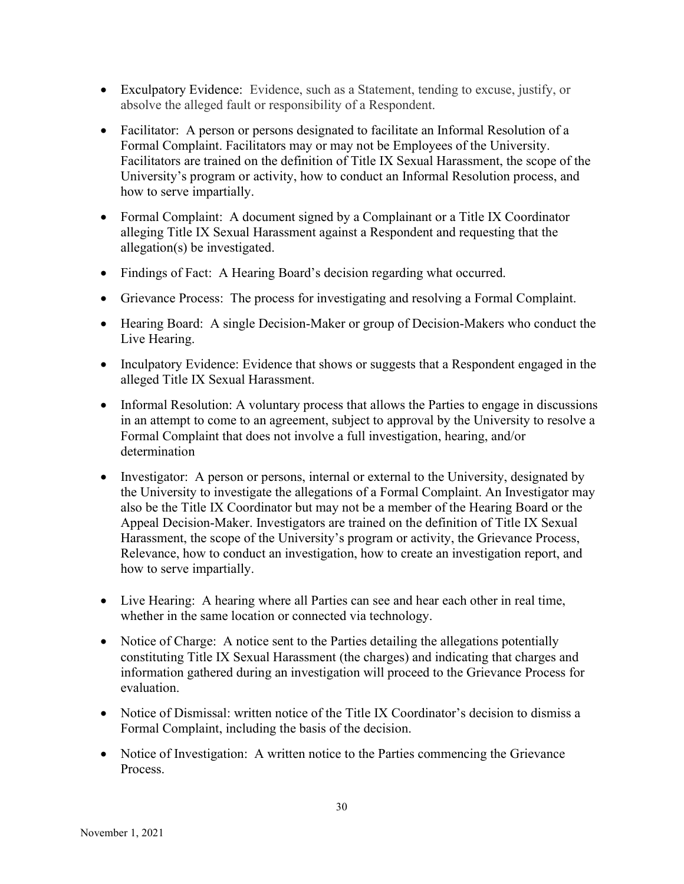- Exculpatory Evidence: Evidence, such as a Statement, tending to excuse, justify, or absolve the alleged fault or responsibility of a Respondent.
- Facilitator: A person or persons designated to facilitate an Informal Resolution of a Formal Complaint. Facilitators may or may not be Employees of the University. Facilitators are trained on the definition of Title IX Sexual Harassment, the scope of the University's program or activity, how to conduct an Informal Resolution process, and how to serve impartially.
- Formal Complaint: A document signed by a Complainant or a Title IX Coordinator alleging Title IX Sexual Harassment against a Respondent and requesting that the allegation(s) be investigated.
- Findings of Fact: A Hearing Board's decision regarding what occurred.
- Grievance Process: The process for investigating and resolving a Formal Complaint.
- Hearing Board: A single Decision-Maker or group of Decision-Makers who conduct the Live Hearing.
- Inculpatory Evidence: Evidence that shows or suggests that a Respondent engaged in the alleged Title IX Sexual Harassment.
- Informal Resolution: A voluntary process that allows the Parties to engage in discussions in an attempt to come to an agreement, subject to approval by the University to resolve a Formal Complaint that does not involve a full investigation, hearing, and/or determination
- Investigator: A person or persons, internal or external to the University, designated by the University to investigate the allegations of a Formal Complaint. An Investigator may also be the Title IX Coordinator but may not be a member of the Hearing Board or the Appeal Decision-Maker. Investigators are trained on the definition of Title IX Sexual Harassment, the scope of the University's program or activity, the Grievance Process, Relevance, how to conduct an investigation, how to create an investigation report, and how to serve impartially.
- Live Hearing: A hearing where all Parties can see and hear each other in real time, whether in the same location or connected via technology.
- Notice of Charge: A notice sent to the Parties detailing the allegations potentially constituting Title IX Sexual Harassment (the charges) and indicating that charges and information gathered during an investigation will proceed to the Grievance Process for evaluation.
- Notice of Dismissal: written notice of the Title IX Coordinator's decision to dismiss a Formal Complaint, including the basis of the decision.
- Notice of Investigation: A written notice to the Parties commencing the Grievance Process.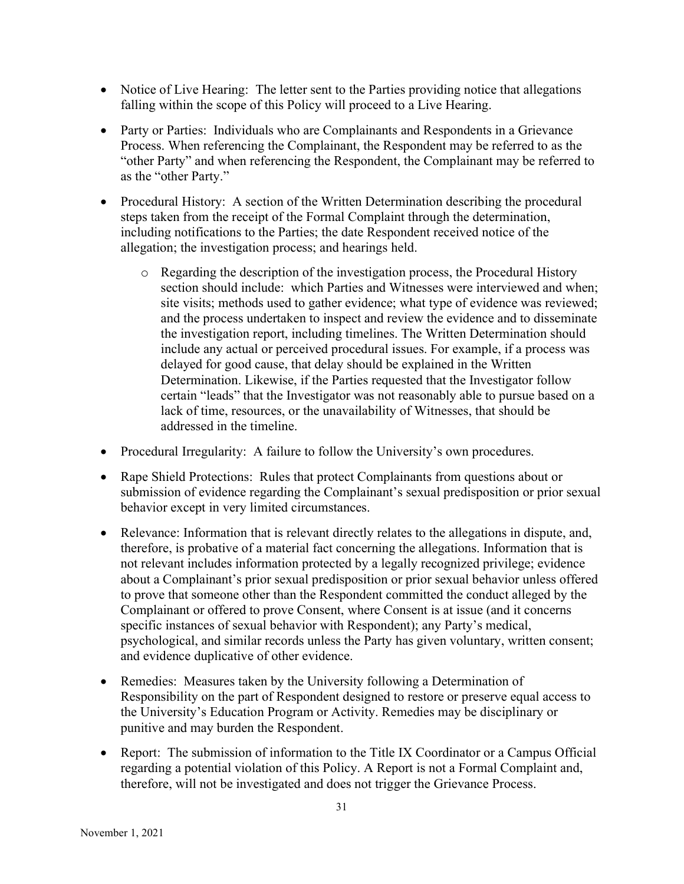- Notice of Live Hearing: The letter sent to the Parties providing notice that allegations falling within the scope of this Policy will proceed to a Live Hearing.
- Party or Parties: Individuals who are Complainants and Respondents in a Grievance Process. When referencing the Complainant, the Respondent may be referred to as the "other Party" and when referencing the Respondent, the Complainant may be referred to as the "other Party."
- Procedural History: A section of the Written Determination describing the procedural steps taken from the receipt of the Formal Complaint through the determination, including notifications to the Parties; the date Respondent received notice of the allegation; the investigation process; and hearings held.
	- o Regarding the description of the investigation process, the Procedural History section should include: which Parties and Witnesses were interviewed and when; site visits; methods used to gather evidence; what type of evidence was reviewed; and the process undertaken to inspect and review the evidence and to disseminate the investigation report, including timelines. The Written Determination should include any actual or perceived procedural issues. For example, if a process was delayed for good cause, that delay should be explained in the Written Determination. Likewise, if the Parties requested that the Investigator follow certain "leads" that the Investigator was not reasonably able to pursue based on a lack of time, resources, or the unavailability of Witnesses, that should be addressed in the timeline.
- Procedural Irregularity: A failure to follow the University's own procedures.
- Rape Shield Protections: Rules that protect Complainants from questions about or submission of evidence regarding the Complainant's sexual predisposition or prior sexual behavior except in very limited circumstances.
- Relevance: Information that is relevant directly relates to the allegations in dispute, and, therefore, is probative of a material fact concerning the allegations. Information that is not relevant includes information protected by a legally recognized privilege; evidence about a Complainant's prior sexual predisposition or prior sexual behavior unless offered to prove that someone other than the Respondent committed the conduct alleged by the Complainant or offered to prove Consent, where Consent is at issue (and it concerns specific instances of sexual behavior with Respondent); any Party's medical, psychological, and similar records unless the Party has given voluntary, written consent; and evidence duplicative of other evidence.
- Remedies: Measures taken by the University following a Determination of Responsibility on the part of Respondent designed to restore or preserve equal access to the University's Education Program or Activity. Remedies may be disciplinary or punitive and may burden the Respondent.
- Report: The submission of information to the Title IX Coordinator or a Campus Official regarding a potential violation of this Policy. A Report is not a Formal Complaint and, therefore, will not be investigated and does not trigger the Grievance Process.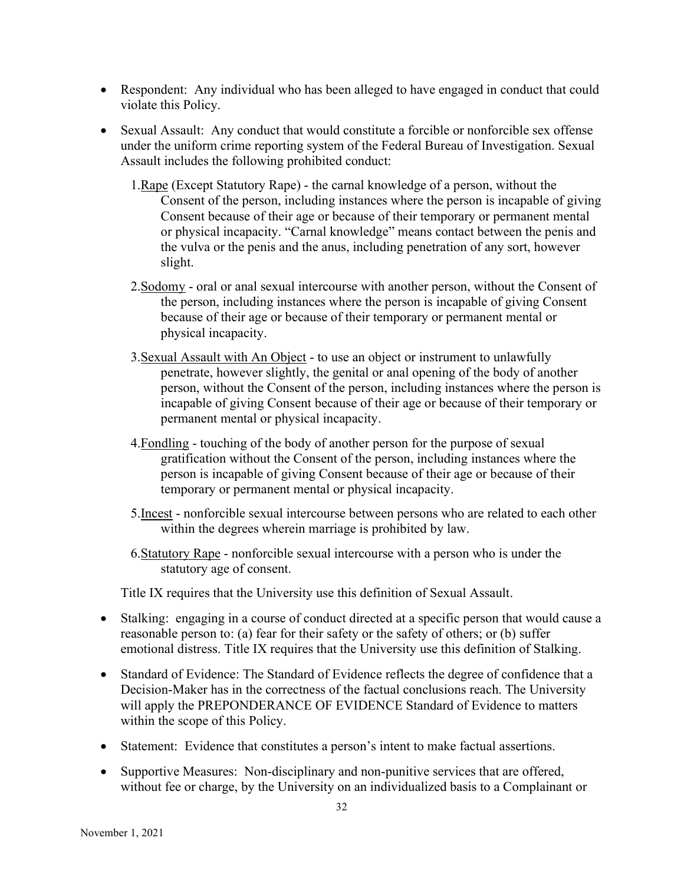- Respondent: Any individual who has been alleged to have engaged in conduct that could violate this Policy.
- Sexual Assault: Any conduct that would constitute a forcible or nonforcible sex offense under the uniform crime reporting system of the Federal Bureau of Investigation. Sexual Assault includes the following prohibited conduct:
	- 1.Rape (Except Statutory Rape) the carnal knowledge of a person, without the Consent of the person, including instances where the person is incapable of giving Consent because of their age or because of their temporary or permanent mental or physical incapacity. "Carnal knowledge" means contact between the penis and the vulva or the penis and the anus, including penetration of any sort, however slight.
	- 2.Sodomy oral or anal sexual intercourse with another person, without the Consent of the person, including instances where the person is incapable of giving Consent because of their age or because of their temporary or permanent mental or physical incapacity.
	- 3.Sexual Assault with An Object to use an object or instrument to unlawfully penetrate, however slightly, the genital or anal opening of the body of another person, without the Consent of the person, including instances where the person is incapable of giving Consent because of their age or because of their temporary or permanent mental or physical incapacity.
	- 4.Fondling touching of the body of another person for the purpose of sexual gratification without the Consent of the person, including instances where the person is incapable of giving Consent because of their age or because of their temporary or permanent mental or physical incapacity.
	- 5.Incest nonforcible sexual intercourse between persons who are related to each other within the degrees wherein marriage is prohibited by law.
	- 6.Statutory Rape nonforcible sexual intercourse with a person who is under the statutory age of consent.

Title IX requires that the University use this definition of Sexual Assault.

- Stalking: engaging in a course of conduct directed at a specific person that would cause a reasonable person to: (a) fear for their safety or the safety of others; or (b) suffer emotional distress. Title IX requires that the University use this definition of Stalking.
- Standard of Evidence: The Standard of Evidence reflects the degree of confidence that a Decision-Maker has in the correctness of the factual conclusions reach. The University will apply the PREPONDERANCE OF EVIDENCE Standard of Evidence to matters within the scope of this Policy.
- Statement: Evidence that constitutes a person's intent to make factual assertions.
- Supportive Measures: Non-disciplinary and non-punitive services that are offered, without fee or charge, by the University on an individualized basis to a Complainant or